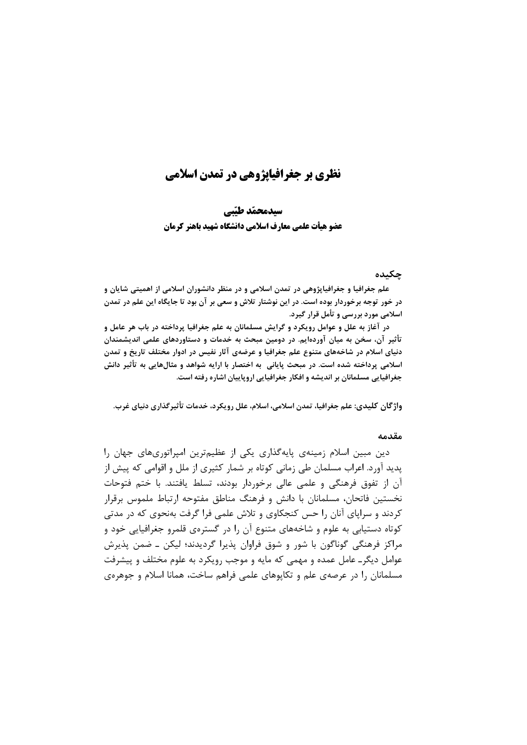# نظری بر جغرافیاپژوهی در تمدن اسلامی

سيدمحمّد طبّي عضو هيأت علمي معارف اسلامي دانشگاه شهيد باهنر كرمان

#### جكىدە

علم جغرافیا و جغرافیاپژوهی در تمدن اسلامی و در منظر دانشوران اسلامی از اهمیتی شایان و در خور توجه برخوردار بوده است. در این نوشتار تلاش و سعی بر آن بود تا جایگاه این علم در تمدن اسلامی مورد بررسی و تأمل قرار گیرد.

در آغاز به علل و عوامل رویکرد و گرایش مسلمانان به علم جغرافیا پرداخته در باب هر عامل و تأثیر آن، سخن به میان آوردهایم. در دومین مبحث به خدمات و دستاوردهای علمی اندیشمندان دنیای اسلام در شاخههای متنوع علم جغرافیا و عرضهی آثار نفیس در ادوار مختلف تاریخ و تمدن اسلامي پرداخته شده است. در مبحث پاياني به اختصار با ارايه شواهد و مثالهايي به تأثير دانش جغرافیایی مسلمانان بر اندیشه و افکار جغرافیایی اروپاییان اشاره رفته است.

واژگان کلیدی: علم جغرافیا، تمدن اسلامی، اسلام، علل رویکرد، خدمات تأثیرگذاری دنیای غرب.

#### مقدمه

دین مبین اسلام زمینهی پایهگذاری یکی از عظیمترین امپراتوریهای جهان را پدید آورد. اعراب مسلمان طی زمانی کوتاه بر شمار کثیری از ملل و اقوامی که پیش از آن از تفوق فرهنگی و علمی عالی برخوردار بودند، تسلط یافتند. با ختم فتوحات نخستین فاتحان، مسلمانان با دانش و فرهنگ مناطق مفتوحه ارتباط ملموس برقرار کردند و سراپای آنان را حس کنجکاوی و تلاش علمی فرا گرفت بهنحوی که در مدتی کوتاه دستیابی به علوم و شاخههای متنوع آن را در گسترهی قلمرو جغرافیایی خود و مراکز فرهنگی گوناگون با شور و شوق فراوان پذیرا گردیدند؛ لیکن ــ ضمن پذیرش عوامل دیگر۔ عامل عمدہ و مهمی که مایه و موجب رویکرد به علوم مختلف و پیشرفت مسلمانان را در عرصهی علم و تکاپوهای علمی فراهم ساخت، همانا اسلام و جوهرهی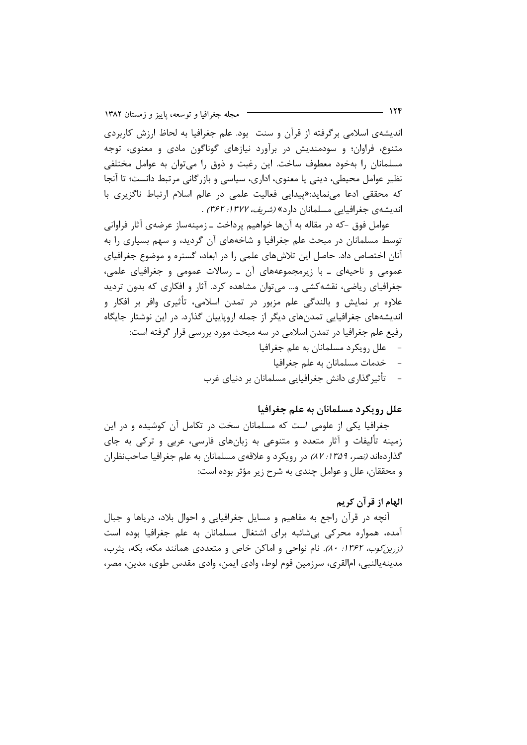اندیشهی اسلامی برگرفته از قرآن و سنت بود. علم جغرافیا به لحاظ ارزش کاربردی متنوع، فراوان؛ و سودمندیش در برآورد نیازهای گوناگون مادی و معنوی، توجه مسلمانان را بهخود معطوف ساخت. این رغبت و ذوق را می توان به عوامل مختلفی نظیر عوامل محیطی، دینی یا معنوی، اداری، سیاسی و بازرگانی مرتبط دانست؛ تا آنجا که محققی ادعا می نماید:«پیدایی فعالیت علمی در عالم اسلام ارتباط ناگزیری با اندیشهی جغرافیایی مسلمانان دارد» *(شریف، ۱۳۷۲: ۳۶۲)* .

عوامل فوق -که در مقاله به آنها خواهیم پرداخت ـ زمینهساز عرضهی آثار فراوانی توسط مسلمانان در مبحث علم جغرافیا و شاخههای آن گردید، و سهم بسیاری را به آنان اختصاص داد. حاصل این تلاشهای علمی را در ابعاد، گستره و موضوع جغرافیای عمومی و ناحیهای ـ با زیرمجموعههای آن ـ رسالات عمومی و جغرافیای علمی، جغرافیای ریاضی، نقشه کشی و… می توان مشاهده کرد. آثار و افکاری که بدون تردید علاوه بر نمایش و بالندگی علم مزبور در تمدن اسلامی، تأثیری وافر بر افکار و اندیشههای جغرافیایی تمدنهای دیگر از جمله اروپاییان گذارد. در این نوشتار جایگاه رفيع علم جغرافيا در تمدن اسلامي در سه مبحث مورد بررسي قرار گرفته است:  $-$  علل رويكرد مسلمانان به علم جغرافيا

- خدمات مسلمانان به علم جغرافيا
- تأثیرگذاری دانش جغرافیایی مسلمانان بر دنیای غرب

#### علل رويكرد مسلمانان به علم جغرافيا

جغرافیا یکی از علومی است که مسلمانان سخت در تکامل آن کوشیده و در این زمینه تألیفات و آثار متعدد و متنوعی به زبانهای فارسی، عربی و ترکی به جای گذار دهاند *(نصر، ١٣٥٩: ٨٧)* در رويكرد و علاقهى مسلمانان به علم جغرافيا صاحب نظران و محققان، علل و عوامل چندي به شرح زير مؤثر بوده است:

### الهام از قر آن کريم

آنچه در قرآن راجع به مفاهیم و مسایل جغرافیایی و احوال بلاد، دریاها و جبال آمده، همواره محرکی بی شائبه برای اشتغال مسلمانان به علم جغرافیا بوده است (زرین کوب، ۱۳۶۲: ۸۰). نام نواحی و اماکن خاص و متعددی همانند مکه، بکه، یثرب، مدینهپالنبی، امالقری، سرزمین قوم لوط، وادی ایمن، وادی مقدس طوی، مدین، مصر،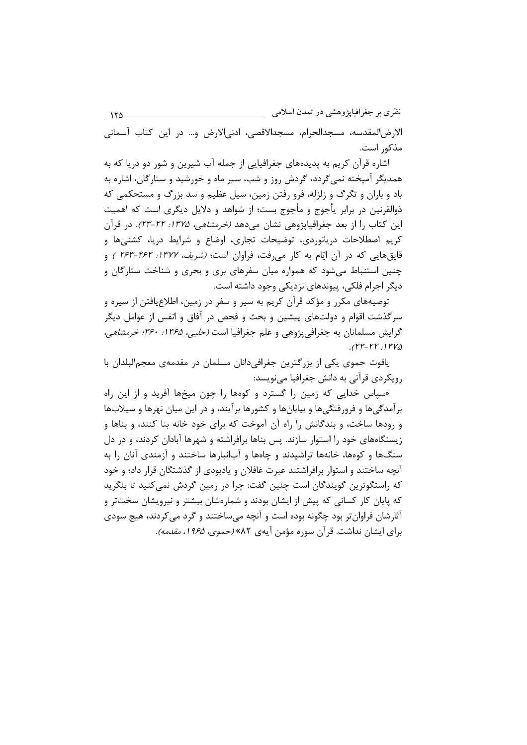نظری بر جغرافیایژوهشی در تمدن اسلامی  $150 -$ الارض المقدسه، مسجدالحرام، مسجدالاقصی، ادنی الارض و… در این کتاب آسمانی مذکور است.

اشاره قرآن کريم به پديدههاي جغرافيايي از جمله آب شيرين و شور دو دريا که به همدیگر آمیخته نمی گردد، گردش روز و شب، سیر ماه و خورشید و ستارگان، اشاره به باد و باران و تگرگ و زلزله، فرو رفتن زمین، سیل عظیم و سد بزرگ و مستحکمی که ذوالقرنین در برابر پأجوج و مأجوج بست؛ از شواهد و دلایل دیگری است که اهمیت این کتاب را از بعد جغرافیایژوهی نشان میدهد *(خرمشاهی، ۱۳۷۵: ۲۲-۲۳)*. در قرآن کریم اصطلاحات دریانوردی، توضیحات تجاری، اوضاع و شرایط دریا، کشتیها و قایقهایی که در آن ایّام به کار می رفت، فراوان است؛ *(شریف، ۱۳۷۲: ۱۶۲-۱۶۳* ) و چنین استنباط می شود که همواره میان سفرهای بری و بحری و شناخت ستارگان و دیگر اجرام فلکی، پیوندهای نزدیکی وجود داشته است.

توصیههای مکرر و مؤکد قرآن کریم به سیر و سفر در زمین، اطلاعِیافتن از سیره و سرگذشت اقوام و دولتهای پیشین و بحث و فحص در آفاق و انفس از عوامل دیگر گرایش مسلمانان به جغرافیپژوهی و علم جغرافیا است *(حلبی، ۱۳۶۵: ۳۶۰؛ خرمشاهی،*  $(rr-rr.1rrv)$ 

یاقوت حموی یکی از بزرگترین جغرافی دانان مسلمان در مقدمهی معجم|لبلدان با رویکردی قرآنی به دانش جغرافیا مینویسد:

«سیاس خدایی که زمین را گسترد و کومها را چون میخها آفرید و از این راه برآمدگیها و فرورفتگیها و بیابانها و کشورها برآیند، و در این میان نهرها و سیلابها و رودها ساخت، و بندگانش را راه آن آموخت که برای خود خانه بنا کنند، و بناها و زیستگاههای خود را استوار سازند. پس بناها برافراشته و شهرها آبادان کردند، و در دل سنگ@ا و کوهها، خانهها تراشیدند و چاهها و آبانبارها ساختند و آزمندی آنان را به آنچه ساختند و استوار برافراشتند عبرت غافلان و یادبودی از گذشتگان قرار داد؛ و خود که راستگوترین گویندگان است چنین گفت: چرا در زمین گردش نمی کنید تا بنگرید که پایان کار کسانی که پیش از ایشان بودند و شمارهشان بیشتر و نیرویشان سختتر و آثارشان فراوانتر بود چگونه بوده است و آنچه میساختند و گرد می کردند، هیچ سودی براي ايشان نداشت. قرآن سوره مؤمن آيهي ٨٢» *(حموي، ١٩۶۵، مقدمه)*.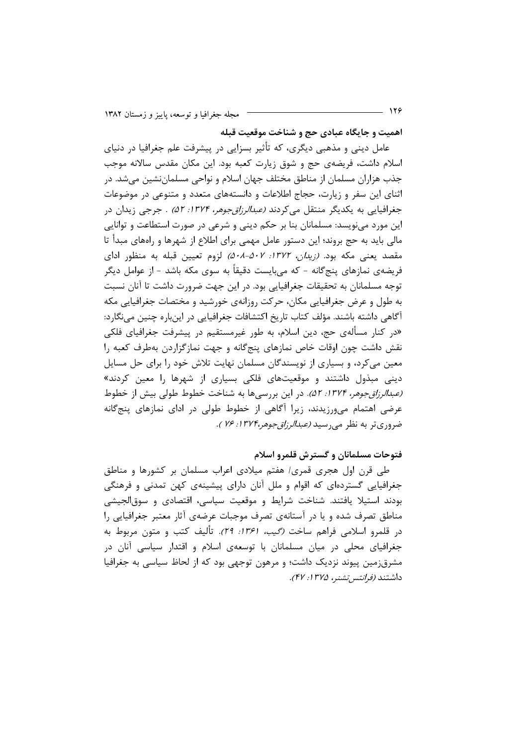اهميت و جايگاه عبادي حج و شناخت موقعيت قبله

عامل دینی و مذهبی دیگری، که تأثیر بسزایی در پیشرفت علم جغرافیا در دنیای اسلام داشت، فریضهی حج و شوق زیارت کعبه بود. این مکان مقدس سالانه موجب جذب هزاران مسلمان از مناطق مختلف جهان اسلام و نواحی مسلماننشین می شد. در اثنای این سفر و زیارت، حجاج اطلاعات و دانستههای متعدد و متنوعی در موضوعات جغرافیایی به یکدیگر منتقل می کردند *(عبدالرزاق جوهر، ۱۳۷۴: ۵۲) . جر*جی زیدان در این مورد می;نویسد: مسلمانان بنا بر حکم دینی و شرعی در صورت استطاعت و توانایی مالی باید به حج بروند؛ این دستور عامل مهمی برای اطلاع از شهرها و راههای مبدأ تا مقصد یعنی مکه بود. *(زیدان، ۱۳۷۲: ۵۰۸-۵۰۲)* لزوم تعیین قبله به منظور ادای فریضهی نمازهای پنج گانه – که می،بایست دقیقاً به سوی مکه باشد – از عوامل دیگر توجه مسلمانان به تحقیقات جغرافیایی بود. در این جهت ضرورت داشت تا آنان نسبت به طول و عرض جغرافیایی مکان، حرکت روزانهی خورشید و مختصات جغرافیایی مکه آگاهی داشته باشند. مؤلف کتاب تاریخ اکتشافات جغرافیایی در اینباره چنین مینگارد: «در کنار مسألهی حج، دین اسلام، به طور غیرمستقیم در پیشرفت جغرافیای فلکی نقش داشت چون اوقات خاص نمازهای پنجگانه و جهت نمازگزاردن بهطرف کعبه را معین میکرد، و بسیاری از نویسندگان مسلمان نهایت تلاش خود را برای حل مسایل دینی مبذول داشتند و موقعیتهای فلکی بسیاری از شهرها را معین کردند» (عبدالرزاق جوهر، ١٣٧٤: ٥٢). در اين بررسي ها به شناخت خطوط طولي بيش از خطوط عرضی اهتمام میورزیدند، زیرا آگاهی از خطوط طولی در ادای نمازهای پنجگانه ضروري تر به نظر مي رسيد *(عبدالرزاقجوهر،۱۳۷۴: ۷۶* ).

#### فتوحات مسلمانان و گسترش قلمرو اسلام

طی قرن اول هجری قمری/ هفتم میلادی اعراب مسلمان بر کشورها و مناطق جغرافیایی گستردهای که اقوام و ملل آنان دارای پیشینهی کهن تمدنی و فرهنگی بودند استيلا يافتند. شناخت شرايط و موقعيت سياسي، اقتصادى و سوقالجيشي مناطق تصرف شده و یا در آستانهی تصرف موجبات عرضهی آثار معتبر جغرافیایی را در قلمرو اسلامی فراهم سا*خت (گیب، ۱۳۶۱: ۲۹).* تألیف کتب و متون مربوط به جغرافیای محلی در میان مسلمانان با توسعهی اسلام و اقتدار سیاسی آنان در مشرقزمین پیوند نزدیک داشت؛ و مرهون توجهی بود که از لحاظ سیاسی به جغرافیا داشتند *(فرانتس تشنر، ۱۳۷۵: ۴۷).*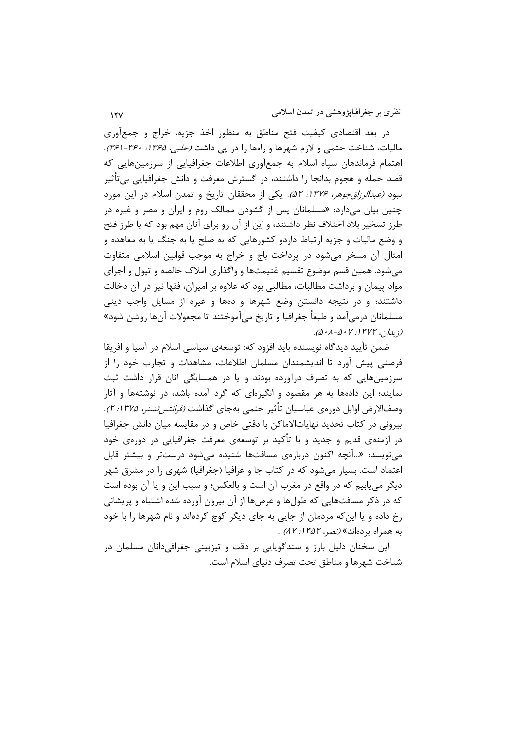نظری بر جغرافیاپژوهشی در تمدن اسلامی

در بعد اقتصادی کیفیت فتح مناطق به منظور اخذ جزیه، خراج و جمعآوری ماليات، شناخت حتمي و لازم شهرها و راهها را در پي داشت *(حلبي، ۱۳۶۵: ۳۶۰-۳۶۱)*. اهتمام فرماندهان سياه اسلام به جمع آوري اطلاعات جغرافيايي از سرزمينهايي كه قصد حمله و هجوم بدانجا را داشتند، در گسترش معرفت و دانش جغرافیایی بی تأثیر نبود *(عبدالرزاقجوهر، ۱۳۷۶: ۵۲).* یکی از محققان تاریخ و تمدن اسلام در این مورد چنین بیان میدارد: «مسلمانان پس از گشودن ممالک روم و ایران و مصر و غیره در طرز تسخیر بلاد اختلاف نظر داشتند، و این از آن رو برای آنان مهم بود که با طرز فتح و وضع ماليات و جزيه ارتباط داردو كشورهايي كه به صلح يا به جنگ يا به معاهده و امثال آن مسخر میشود در پرداخت باج و خراج به موجب قوانین اسلامی متفاوت میشود. همین قسم موضوع تقسیم غنیمتها و واگذاری املاک خالصه و تیول و اجرای مواد پیمان و برداشت مطالبات، مطالبی بود که علاوه بر امیران، فقها نیز در آن دخالت داشتند؛ و در نتیجه دانستن وضع شهرها و دهها و غیره از مسایل واجب دینی مسلمانان درمیآمد و طبعاً جغرافیا و تاریخ میآموختند تا مجعولات آنها روشن شود» (زېيدان، ١٣٧٢: ٥٠١-٠١٨).

 $15V$ 

ضمن تأييد ديدگاه نويسنده بايد افزود كه: توسعهي سياسي اسلام در آسيا و افريقا فرصتی پیش آورد تا اندیشمندان مسلمان اطلاعات، مشاهدات و تجارب خود را از سرزمینهایی که به تصرف درآورده بودند و یا در همسایگی آنان قرار داشت ثبت نمایند؛ این دادهها به هر مقصود و انگیزهای که گرد آمده باشد، در نوشتهها و آثار وصف|لارض اوايل دورەي عباسيان تأثير حتمي بەجاي گذاشت *(فرانتستشنر، ١٣٧۵: ٢)*. بیرونی در کتاب تحدید نهایاتالاماکن با دقتی خاص و در مقایسه میان دانش جغرافیا در ازمنهی قدیم و جدید و با تأکید بر توسعهی معرفت جغرافیایی در دورهی خود مینویسد: «...آنچه اکنون دربارهی مسافتها شنیده می شود درستتر و بیشتر قابل اعتماد است. بسیار می شود که در کتاب جا و غرافیا (جغرافیا) شهری را در مشرق شهر ديگر مي يابيم كه در واقع در مغرب آن است و بالعكس؛ و سبب اين و يا آن بوده است که در ذکر مسافتهایی که طولها و عرضها از آن بیرون آورده شده اشتباه و پریشانی رخ داده و یا این که مردمان از جایی به جای دیگر کوچ کردهاند و نام شهرها را با خود به همراه بردهاند» *(نصر، ١٣٥٢: ٨٧)*.

این سخنان دلیل بارز و سندگوپایی بر دقت و تیزبینی جغرافی دانان مسلمان در شناخت شهرها و مناطق تحت تصرف دنیای اسلام است.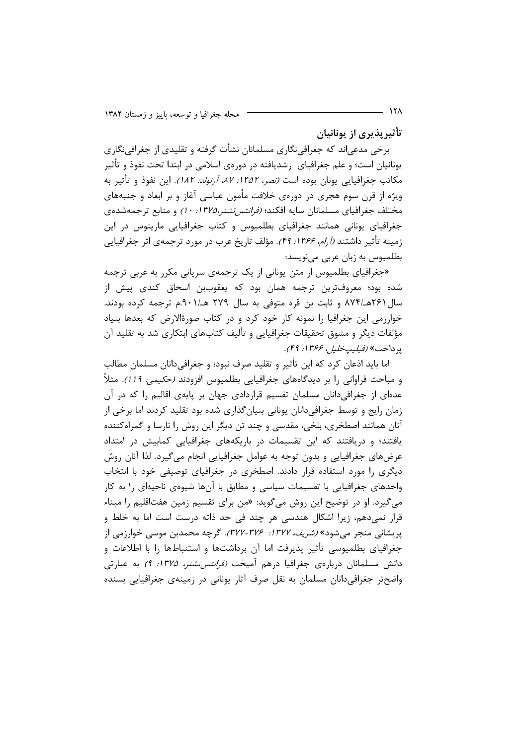تأثيريذيري از يونانيان

برخی مدعی|ند که جغرافی;نگاری مسلمانان نشأت گرفته و تقلیدی از جغرافی;نگاری یونانیان است؛ و علم جغرافیای ۱٫شدیافته در دورهی اسلامی در ابتدا تحت نفوذ و تأثیر مكاتب جغرافيايي يونان بوده است *(نصر، ١٣۵٢؛ ٨٧، أرنولد: ١٨٢).* اين نفوذ و تأثير به ویژه از قرن سوم هجری در دورهی خلافت مأمون عباسی آغاز و بر ابعاد و جنبههای مختلف جغرافیای مسلمانان سایه افکند؛ *(فرانتس تشنر،۱۳۷۵: ۱۰)* و منابع ترجمهشدهی جغرافیای یونانی همانند جغرافیای بطلمیوس و کتاب جغرافیایی مارینوس در این زمینه تأثیر داشتند *(آرام، ۱۳۶۶: ۴۹)*. مؤلف تاریخ عرب در مورد ترجمهی اثر جغرافیایی بطلمیوس به زبان عربی می نویسد:

«جغرافیای بطلمپوس از متن یونانی از یک ترجمهی سریانی مکرر به عربی ترجمه شده بود؛ معروفترین ترجمه همان بود که یعقوببن اسحاق کندی پیش از سال ۲۶۱هـ/۸۷۴ و ثابت بن قره متوفى به سال ۲۷۹ هـ/۹۰۱.م ترجمه كرده بودند. خوارزمی این جغرافیا را نمونه کار خود کرد و در کتاب صورةالارض که بعدها بنیاد مؤلفات دیگر و مشوق تحقیقات جغرافیایی و تألیف کتابهای ابتکاری شد به تقلید آن يو داخت» *(فيليپخليل، ۱۳۶۶: ۴۹)*.

اما بايد اذعان كرد كه اين تأثير و تقليد صرف نبود؛ و جغرافي،دانان مسلمان مطالب و مباحث فراوانی را بر دیدگاههای جغرافیایی بطلمیوس افزودند (حکیمی: 119). مثلاً عدهای از جغرافی دانان مسلمان تقسیم قراردادی جهان بر پایهی اقالیم را که در آن زمان رایج و توسط جغرافیدانان یونانی بنیانگذاری شده بود تقلید کردند اما برخی از آنان همانند اصطخری، بلخی، مقدسی و چند تن دیگر این روش را نارسا و گمراهکننده یافتند؛ و دریافتند که این تقسیمات در باریکههای جغرافیایی کمابیش در امتداد عرضهای جغرافیایی و بدون توجه به عوامل جغرافیایی انجام میگیرد. لذا آنان روش دیگری را مورد استفاده قرار دادند. اصطخری در جغرافیای توصیفی خود با انتخاب واحدهای جغرافیایی با تقسیمات سیاسی و مطابق با آنها شیوهی ناحیهای را به کار می گیرد. او در توضیح این روش می گوید: «من برای تقسیم زمین هفتاقلیم را مبناء قرار نمے دھم، زیرا اشکال ھندسے ،ھر چند فی حد ذاته درست است اما به خلط و یریشانی منجر می شود» *(شریف، ۱۳۷۷: ۳۷۶-۳۷۴).* گرچه محمدبن موسی خوارزمی از جغرافیای بطلمیوسی تأثیر پذیرفت اما آن برداشتها و استنباطها را با اطلاعات و دانش مسلمانان دربارهی جغرافیا درهم آمی*خت (فرانتس تشنر، ۱۳۷۵: ۹)* به عبارتی واضحتر جغرافی دانان مسلمان به نقل صرف آثار یونانی در زمینهی جغرافیایی بسنده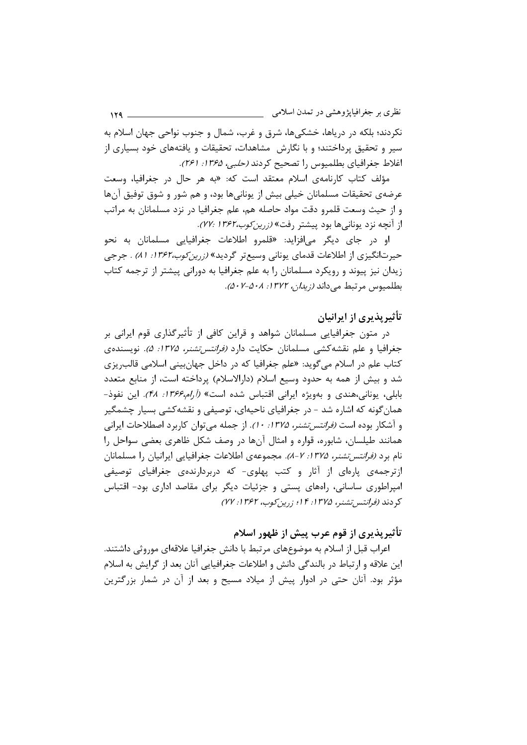نظري بر جغرافيايژوهشي در تمدن اسلامي  $159 -$ نکردند؛ بلکه در دریاها، خشکیها، شرق و غرب، شمال و جنوب نواحی جهان اسلام به سیر و تحقیق پرداختند؛ و با نگارش مشاهدات، تحقیقات و یافتههای خود بسیاری از اغلاط جغرافياي بطلميوس را تصحيح كردند (حلبي، ١٣۶۵: ٢۶١).

مؤلف كتاب كارنامهى اسلام معتقد است كه: «به هر حال در جغرافيا، وسعت عرضهی تحقیقات مسلمانان خیلی بیش از یونانیها بود، و هم شور و شوق توفیق آنها و از حیث وسعت قلمرو دقت مواد حاصله هم، علم جغرافیا در نزد مسلمانان به مراتب از آنچه نزد یونانی ها بود پیشتر رفت» *(زرین کوب،۱۳۶۲ :۷۷)*.

او در جای دیگر می|فزاید: «قلمرو اطلاعات جغرافیایی مسلمانان به نحو حیرتانگیزی از اطلاعات قدمای یونانی وسیعتر گردید» *(زرین کوب،۱۳۶۲: ۸۱) .* جرجی زیدان نیز پیوند و رویکرد مسلمانان را به علم جغرافیا به دورانی پیشتر از ترجمه کتاب بطلميوس مرتبط مي داند (زيدان، ١٣٧٢: ٥٠٨-٠/٧٠٨).

### تأثیریذیری از ایرانیان

در متون جغرافیایی مسلمانان شواهد و قراین کافی از تأثیرگذاری قوم ایرانی بر جغرافیا و علم نقشه کشی مسلمانان حکایت دارد *(فرانتس تشنر، ۱۳۷۵: ۵).* نویسنده ی کتاب علم در اسلام می گوید: «علم جغرافیا که در داخل جهانبینی اسلامی قالب٫یزی شد و بیش از همه به حدود وسیع اسلام (دارالاسلام) پرداخته است، از منابع متعدد بابلی، یونانی،هندی و بهویژه ایرانی اقتباس شده است» (*آرام،۱۳۶۶: ۴۸).* این نفوذ-همانگونه که اشاره شد - در جغرافیای ناحیهای، توصیفی و نقشهکشی بسیار چشمگیر و آشکار بوده است *(فرانتس تشنر، ۱۳۷۵: ۱۰)*. از جمله می توان کاربرد اصطلاحات ایرانی همانند طیلسان، شابوره، قواره و امثال آنها در وصف شکل ظاهری بعضی سواحل را نام برد *(فرانتس تشنر، ۱۳۷۵: ۷-۸).* مجموعهی اطلاعات جغرافیایی ایرانیان را مسلمانان ازترجمهی پارهای از آثار و کتب پهلوی- که دربردارندهی جغرافیای توصیفی امپراطوری ساسانی، راههای پستی و جزئیات دیگر برای مقاصد اداری بود- اقتباس کردند (فرانتس تشنر، ۱۳۷۵: ۱۴ از زرین کوب، ۱۳۶۲: ۲۷)

## تأثيريذيري از قوم عرب پيش از ظهور اسلام

اعراب قبل از اسلام به موضوعهای مرتبط با دانش جغرافیا علاقهای موروثی داشتند. این علاقه و ارتباط در بالندگی دانش و اطلاعات جغرافیایی آنان بعد از گرایش به اسلام مؤثر بود. آنان حتی در ادوار پیش از میلاد مسیح و بعد از آن در شمار بزرگترین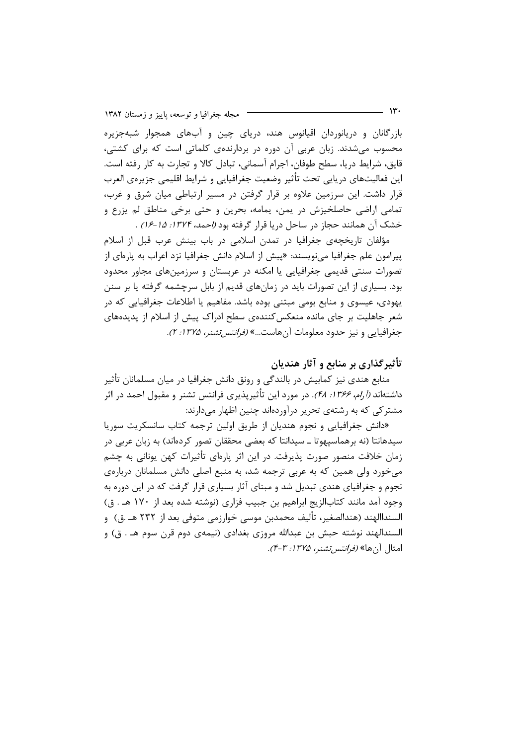بازرگانان و دریانوردان اقیانوس هند، دریای چین و آبهای همجوار شبهجزیره محسوب میشدند. زبان عربی آن دوره در بردارندهی کلماتی است که برای کشتی، قايق، شرايط دريا، سطح طوفان، اجرام آسماني، تبادل كالا و تجارت به كار رفته است. این فعالیتهای درپایی تحت تأثیر وضعیت جغرافیایی و شرایط اقلیمی جزیرهی العرب قرار داشت. این سرزمین علاوه بر قرار گرفتن در مسیر ارتباطی میان شرق و غرب، تمامي اراضي حاصلخيزش در يمن، يمامه، بحرين و حتى برخي مناطق لم يزرع و خشک آن همانند حجاز در ساحل دریا قرار گرفته بود *(احمد، ۱۳۷۴: ۱۵-۱۶)* .

مؤلفان تاریخچەی جغرافیا در تمدن اسلامی در باب بینش عرب قبل از اسلام پیرامون علم جغرافیا می;نویسند: «پیش از اسلام دانش جغرافیا نزد اعراب به پارهای از تصورات سنتی قدیمی جغرافیایی یا امکنه در عربستان و سرزمینهای مجاور محدود بود. بسیاری از این تصورات باید در زمانهای قدیم از بابل سرچشمه گرفته یا بر سنن یهودی، عیسوی و منابع بومی مبتنی بوده باشد. مفاهیم یا اطلاعات جغرافیایی که در شعر جاهلیت بر جای مانده منعکس کنندهی سطح ادراک پیش از اسلام از پدیدههای جغرافیایی و نیز حدود معلومات آنهاست...» *(فرانتس تشنر، ۱۳۷۵: ۲).* 

تأثیر گذاری بر منابع و آثار هندیان

منابع هندی نیز کمابیش در بالندگی و رونق دانش جغرافیا در میان مسلمانان تأثیر داشتهاند *(آرام، ۱۳۶۶: ۴۸*). در مورد این تأثیرپذیری فرانتس تشنر و مقبول احمد در اثر مشترکی که به رشتهی تحریر درآوردهاند چنین اظهار میدارند:

«دانش جغرافیایی و نجوم هندیان از طریق اولین ترجمه کتاب سانسکریت سوریا سیدهانتا (نه برهماسپهوتا ــ سیدانتا که بعضی محققان تصور کردهاند) به زبان عربی در زمان خلافت منصور صورت پذیرفت. در این اثر پارهای تأثیرات کهن یونانی به چشم می خورد ولی همین که به عربی ترجمه شد، به منبع اصلی دانش مسلمانان دربارهی نجوم و جغرافیای هندی تبدیل شد و مبنای آثار بسیاری قرار گرفت که در این دوره به وجود آمد مانند كتابالزيج ابراهيم بن جبيب فزاري (نوشته شده بعد از ١٧٠ هـ. ق) السنداالهند (هندالصغير، تأليف محمدبن موسى خوارزمي متوفى بعد از ٢٣٢ هـ .ق) و السندالهند نوشته حيش بن عبدالله مروزي بغدادي (نيمهي دوم قرن سوم هـ . ق) و امثال آن ها» *(فرانتس تشنر، ۱۳۷۵: ۴-۴)*.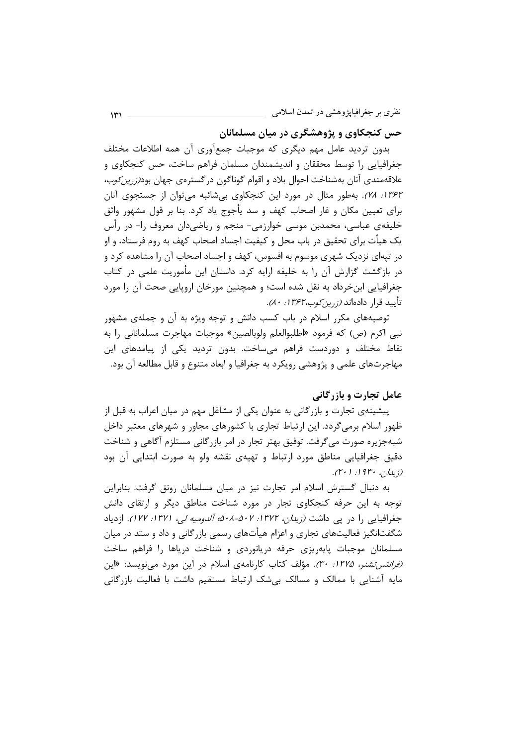نظري بر جغرافيايژوهشي در تمدن اسلامي

حس کنجکاوی و پژوهشگری در میان مسلمانان

بدون تردید عامل مهم دیگری که موجبات جمعآوری آن همه اطلاعات مختلف جغرافیایی را توسط محققان و اندیشمندان مسلمان فراهم ساخت، حس کنجکاوی و علاقهمندی آنان بهشناخت احوال بلاد و اقوام گوناگون در گستروی جهان بود*(زرین کوب،* ۱۳۶۲: ۷۸). بهطور مثال در مورد این کنجکاوی بیشائبه میتوان از جستجوی آنان برای تعیین مکان و غار اصحاب کهف و سد پأجوج یاد کرد. بنا بر قول مشهور واثق خلیفهی عباسی، محمدبن موسی خوارزمی- منجم و ریاضیدان معروف را- در رأس یک هیأت برای تحقیق در باب محل و کیفیت اجساد اصحاب کهف به روم فرستاد، و او در تپهای نزدیک شهری موسوم به افسوس، کهف و اجساد اصحاب آن را مشاهده کرد و در بازگشت گزارش آن را به خلیفه ارایه کرد. داستان این مأموریت علمی در کتاب جغرافیایی ابن خرداد به نقل شده است؛ و همچنین مورخان اروپایی صحت آن را مورد تأييد قرار دادهاند *(زرين كوب،٣۶۲ (: ٨٠).* 

توصیههای مکرر اسلام در باب کسب دانش و توجه ویژه به آن و جملهی مشهور نبي اكرم (ص) كه فرمود «اطلبوالعلم ولوبالصين» موجبات مهاجرت مسلماناني ,ا به نقاط مختلف و دوردست فراهم می،ساخت. بدون تردید یکی از پیامدهای این مهاجرتهای علمی و پژوهشی رویکرد به جغرافیا و ابعاد متنوع و قابل مطالعه آن بود.

### عامل تجارت و بازرگانی

پیشینهی تجارت و بازرگانی به عنوان یکی از مشاغل مهم در میان اعراب به قبل از ظهور اسلام برمیگردد. این ارتباط تجاری با کشورهای مجاور و شهرهای معتبر داخل شبهجزیره صورت میگرفت. توفیق بهتر تجار در امر بازرگانی مستلزم آگاهی و شناخت دقیق جغرافیایی مناطق مورد ارتباط و تهیهی نقشه ولو به صورت ابتدایی آن بود  $(7 \cdot 1 \cdot 1 \cdot 9)^n \cdot \ldots$ 

به دنبال گسترش اسلام امر تجارت نیز در میان مسلمانان رونق گرفت. بنابراین توجه به این حرفه کنجکاوی تجار در مورد شناخت مناطق دیگر و ارتقای دانش جغرافیایی را در یی داشت *(زیدان، ۱۳۷۲: ۵۰۸-۵۰۷ آلدومیه لی، ۱۳۷۱: ۱۲۷)*. ازدیاد شگفتانگیز فعالیتهای تجاری و اعزام هیأتهای رسمی بازرگانی و داد و ستد در میان مسلمانان موجبات پایهریزی حرفه دریانوردی و شناخت دریاها را فراهم ساخت *(فرانتس تشنر، ۱۳۷۵: ۳۰)*. مؤلف کتاب کارنامهی اسلام در این مورد میفویسد: «این مایه آشنایی با ممالک و مسالک بی شک ارتباط مستقیم داشت با فعالیت بازرگانی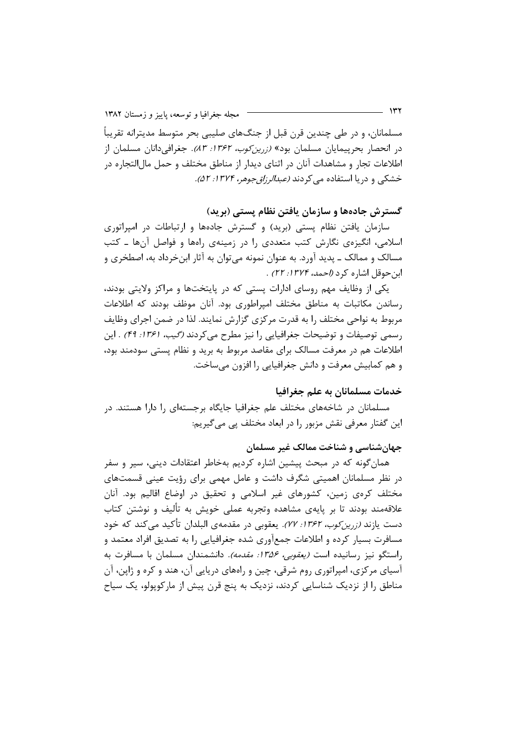مسلمانان، و در طی چندین قرن قبل از جنگهای صلیبی بحر متوسط مدیترانه تقریباً در انحصار بحرپیمایان مسلمان بود» *(زرین کوب، ۱۳۶۲: ۸۳).* جغرافی۵انان مسلمان از اطلاعات تجار و مشاهدات آنان در اثنای دیدار از مناطق مختلف و حمل مال|لتجاره در خشکی و دریا استفاده می کردند *(عبدالرزاق جوهر، ۱۳۷۴: ۵۲).* 

#### گسترش جادهها و سازمان یافتن نظام پستی (برید)

سازمان یافتن نظام پستی (برید) و گسترش جادهها و ارتباطات در امپراتوری اسلامی، انگیزهی نگارش کتب متعددی را در زمینهی راهها و فواصل آنها ـ کتب مسالک و ممالک ــ پدید آورد. به عنوان نمونه می توان به آثار ابنِ خرداد به، اصطخری و ابن حوقل اشاره كرد (إحمد، ١٣٧٤: ٢٢).

یکی از وظایف مهم روسای ادارات پستی که در پایتختها و مراکز ولایتی بودند، رساندن مکاتبات به مناطق مختلف امپراطوری بود. آنان موظف بودند که اطلاعات مربوط به نواحی مختلف را به قدرت مرکزی گزارش نمایند. لذا در ضمن اجرای وظایف رسمي توصيفات و توضيحات جغرافيايي را نيز مطرح مي كردند (*گيب، ۱۳۶۱: ۴۹)* . اين اطلاعات هم در معرفت مسالک برای مقاصد مربوط به برید و نظام پستی سودمند بود، و هم کمابیش معرفت و دانش جغرافیایی را افزون می ساخت.

#### خدمات مسلمانان به علم جغرافیا

مسلمانان در شاخههای مختلف علم جغرافیا جایگاه برجستهای را دارا هستند. در این گفتار معرفی نقش مزبور را در ابعاد مختلف پی میگیریم:

#### جهانشناسی و شناخت ممالک غیر مسلمان

همان گونه که در مبحث پیشین اشاره کردیم بهخاطر اعتقادات دینی، سیر و سفر د, نظر مسلمانان اهمیتی شگرف داشت و عامل مهمی برای رؤیت عینی قسمتهای مختلف کرمی زمین، کشورهای غیر اسلامی و تحقیق در اوضاع اقالیم بود. آنان علاقهمند بودند تا بر پایهی مشاهده وتجربه عملی خویش به تألیف و نوشتن کتاب دست یازند *(زرین کوب، ۱۳۶۲: ۷۷).* یعقوبی در مقدمهی البلدان تأکید می کند که خود مسافرت بسیار کرده و اطلاعات جمعآوری شده جغرافیایی را به تصدیق افراد معتمد و راستگو نیز رسانیده است *(یعقوبی، ۱۳۵۶: مقدمه)*. دانشمندان مسلمان با مسافرت به آسیای مرکزی، امپراتوری روم شرقی، چین و راههای دریایی آن، هند و کره و ژاپن، آن مناطق را از نزدیک شناسایی کردند، نزدیک به پنج قرن پیش از مارکوپولو، یک سیاح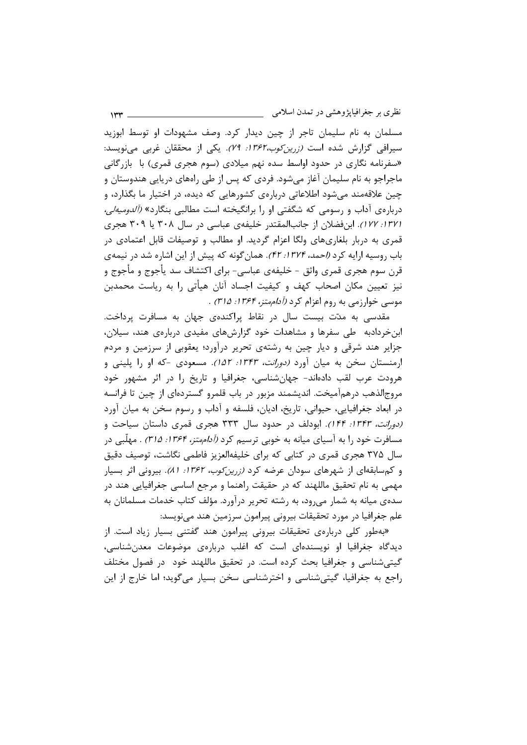نظری بر جغرافیاپژوهشی در تمدن اسلامی می

مسلمان به نام سلیمان تاجر از چین دیدار کرد. وصف مشهودات او توسط ابوزید سیرافی گزارش شده است *(زرین کوب،۱۳۶۲: ۷۹).* یکی از محققان غربی مینویسد: «سفرنامه نگاری در حدود اواسط سده نهم میلادی (سوم هجری قمری) با بازرگانی ماجراجو به نام سلیمان آغاز می شود. فردی که پس از طی راههای دریایی هندوستان و چین علاقهمند میشود اطلاعاتی دربارهی کشورهایی که دیده، در اختیار ما بگذارد، و دربارهی آداب و رسومی که شگفتی او را برانگیخته است مطالبی بنگارد» *(آلدومیهلی،* /١٣٧. ١٢٧). ابن فضلان از جانب المقتدر خليفهي عباسي در سال ٣٠٨ يا ٣٠٩ هجري قمری به دربار بلغاریهای ولگا اعزام گردید. او مطالب و توصیفات قابل اعتمادی در باب روسیه ارایه کرد *(احمد، ۱۳۷۴: ۴۲).* همان گونه که پیش از این اشاره شد در نیمهی قرن سوم هجري قمري واثق - خليفهي عباسي- براي اكتشاف سد يأجوج و مأجوج و نیز تعیین مکان اصحاب کهف و کیفیت اجساد آنان هیأتی را به ریاست محمدبن موسى خوارزمى به روم اعزام كرد *(أداممتز، ١٣۶۴: ٣١۵)* .

مقدسی به مدّت بیست سال در نقاط پراکندهی جهان به مسافرت پرداخت. ابن خردادبه طی سفرها و مشاهدات خود گزارشهای مفیدی دربارهی هند، سیلان، جزایر هند شرقی و دیار چین به رشتهی تحریر درآورد؛ یعقوبی از سرزمین و مردم ارمنستان سخن به میان آورد *(دورانت، ۱۳۴۳: ۱۵۲).* مسعودی -که او را پلینی و هرودت عرب لقب دادهاند- جهانشناسی، جغرافیا و تاریخ را در اثر مشهور خود مروج|لذهب درهم|آمیخت. اندیشمند مزبور در باب قلمرو گسترده|ی از چین تا فرانسه در ابعاد جغرافیایی، حیوانی، تاریخ، ادیان، فلسفه و آداب و رسوم سخن به میان آورد (دورانت، ١٣۴٣: ١۴۴). ابودلف در حدود سال ٣٣٣ هجرى قمرى داستان سياحت و مسافرت خود را به آسیای میانه به خوبی ترسیم کرد *(آداممتز، ۱۳۶۴: ۳۱۵) .* مهلّبی در سال ۳۷۵ هجری قمری در کتابی که برای خلیفهالعزیز فاطمی نگاشت، توصیف دقیق و کمسابقهای از شهرهای سودان عرضه کرد *(زرین کوب، ۱۳۶۲: ۸۱)*. بیرونی اثر بسیار مهمی به نام تحقیق ماللهند که در حقیقت راهنما و مرجع اساسی جغرافیایی هند در سده ی میانه به شمار می رود، به رشته تحریر درآورد. مؤلف کتاب خدمات مسلمانان به علم جغرافیا در مورد تحقیقات بیرونی پیرامون سرزمین هند مینویسد:

«بهطور کلی دربارهی تحقیقات بیرونی پیرامون هند گفتنی بسیار زیاد است. از دیدگاه جغرافیا او نویسندهای است که اغلب دربارهی موضوعات معدنشناسی، گیتی شناسی و جغرافیا بحث کرده است. در تحقیق ماللهند خود در فصول مختلف راجع به جغرافیا، گیتے،شناسی و اخترشناسی سخن بسیار میگوید؛ اما خارج از این

 $1rr -$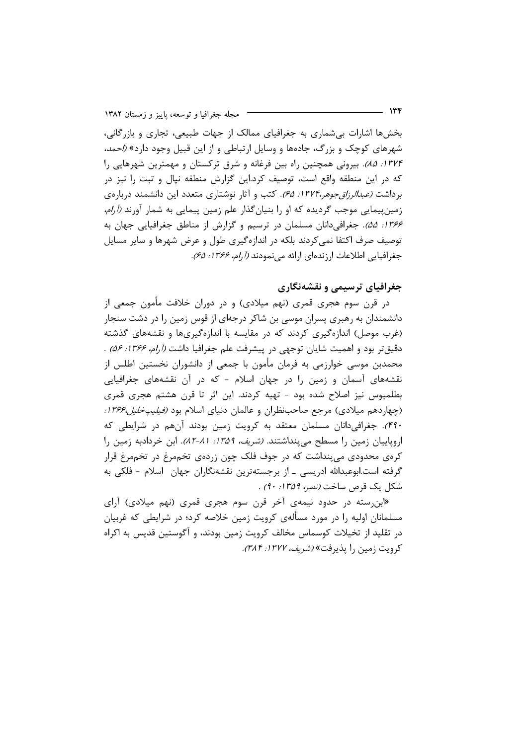بخشها اشارات بی شماری به جغرافیای ممالک از جهات طبیعی، تجاری و بازرگانی، شهرهای کوچک و بزرگ، جادهها و وسایل ارتباطی و از این قبیل وجود دارد» *(احمد،* ١٣٢۴: ٨۵٪. بيروني همچنين راه بين فرغانه و شرق تركستان و مهمترين شهرهايي را که در این منطقه واقع است، توصیف کرد.این گزارش منطقه نیال و تبت را نیز در برداشت *(عبدالرزاقجوهر،۱۳۷۴: ۶۵)*. کتب و آثار نوشتاری متعدد این دانشمند دربارهی زمین پیمایی موجب گردیده که او را بنیان *گ*ذار علم زمین پیمایی به شمار آورند *(آرام،* ۱۳۶۶: ۵۵). جغرافی دانان مسلمان در ترسیم و گزارش از مناطق جغرافیایی جهان به توصیف صرف اکتفا نمی کردند بلکه در اندازهگیری طول و عرض شهرها و سایر مسایل جغرافيايي اطلاعات ارزندهاي ارائه مي نمودند (أرام، ١٣۶۶: ۶۵).

### جغرافیای ترسیمی و نقشهنگاری

در قرن سوم هجری قمری (نهم میلادی) و در دوران خلافت مأمون جمعی از دانشمندان به رهبری پسران موسی بن شاکر درجهای از قوس زمین را در دشت سنجار (غرب موصل) اندازهگیری کردند که در مقایسه با اندازهگیریها و نقشههای گذشته دقیقتر بود و اهمیت شایان توجهی در پیشرفت علم جغرافیا داشت *(آرام، ۱۳۶۶: ۵۶)* . محمدبن موسی خوارزمی به فرمان مأمون با جمعی از دانشوران نخستین اطلس از نقشههای آسمان و زمین را در جهان اسلام - که در آن نقشههای جغرافیایی بطلمیوس نیز اصلاح شده بود - تهیه کردند. این اثر تا قرن هشتم هجری قمری (چهاردهم میلادی) مرجع صاحبنظران و عالمان دنیای اسلام بود *(فیلیپخلیل،۱۳۶۶:* ۴۹۰). جغرافی دانان مسلمان معتقد به کرویت زمین بودند آنهم در شرایطی که اروپاییان زمین را مسطح میپنداشتند. *(شریف، ۱۳۵۹: ۸۱-۸۲)*. ابن خردادبه زمین را کرهی محدودی میپنداشت که در جوف فلک چون زردهی تخممرغ در تخممرغ قرار گرفته است.ابوعبدالله ادریسی ــ از برجستهترین نقشهنگاران جهان اسلام - فلکی به شكل يك قرص ساخت *(نصر، ١٣۵٩: ٩٠)* .

«ابن رسته در حدود نیمهی آخر قرن سوم هجری قمری (نهم میلادی) آرای مسلمانان اولیه ۱٫ در مورد مسألهی کرویت زمین خلاصه کرد؛ در شرایطی که غربیان در تقلید از تخیلات کوسماس مخالف کرویت زمین بودند، و آگوستین قدیس به اکراه کرویت زمین را پذیرفت» *(شریف، ۱۳۷۲: ۳۸۴).* 

۱۳۴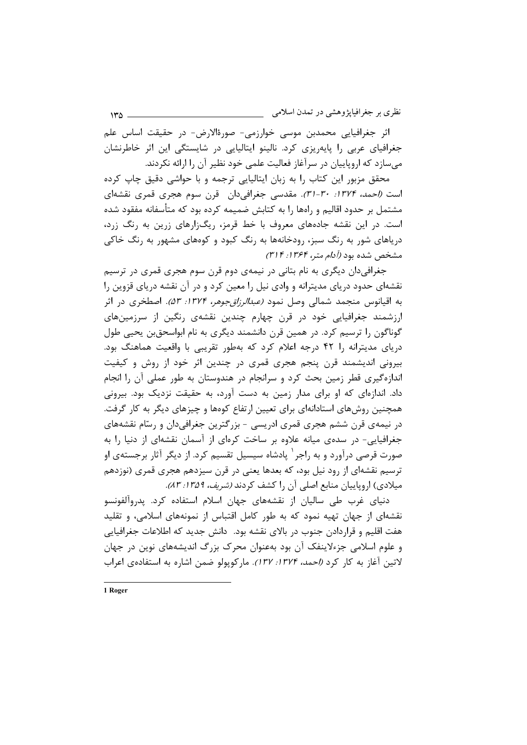نظري بر جغرافيايژوهشي در تمدن اسلامي

اثر جغرافیایی محمدبن موسی خوارزمی- صورةالارض- در حقیقت اساس علم جغرافیای عربی را پایهریزی کرد. نالینو ایتالیایی در شایستگی این اثر خاطرنشان می سازد که اروپاییان در سرآغاز فعالیت علمی خود نظیر آن را ارائه نکردند.

محقق مزبور این کتاب را به زبان ایتالیایی ترجمه و با حواشی دقیق چاپ کرده است *(احمد، ۱۳۷۴: ۳۰-۳۱).* مقدسی جغرافیدان قرن سوم هجری قمری نقشهای مشتمل بر حدود اقالیم و راهها را به کتابش ضمیمه کرده بود که متأسفانه مفقود شده است. در این نقشه جادههای معروف با خط قرمز، ریگزارهای زرین به رنگ زرد، دریاهای شور به رنگ سبز، رودخانهها به رنگ کبود و کوههای مشهور به رنگ خاکی مشخص شده بود *(آدام متر، ۱۳۶۴: ۳۱۴)* 

جغرافیدان دیگری به نام بتانی در نیمهی دوم قرن سوم هجری قمری در ترسیم نقشهای حدود دریای مدیترانه و وادی نیل را معین کرد و در آن نقشه دریای قزوین را به اقیانوس منجمد شمالی وصل نمود *(عبدالرزاقجوهر، ۱۳۷۴: ۵۳).* اصطخری در اثر ارزشمند جغرافیایی خود در قرن چهارم چندین نقشهی رنگین از سرزمینهای گوناگون را ترسیم کرد. در همین قرن دانشمند دیگری به نام ابواسحقبن یحیی طول دریای مدیترانه را ۴۲ درجه اعلام کرد که بهطور تقریبی با واقعیت هماهنگ بود. بیرونی اندیشمند قرن پنجم هجری قمری در چندین اثر خود از روش و کیفیت اندازهگیری قطر زمین بحث کرد و سرانجام در هندوستان به طور عملی آن را انجام داد. اندازهای که او برای مدار زمین به دست آورد، به حقیقت نزدیک بود. بیرونی همچنین روش های استادانهای برای تعیین ارتفاع کوهها و چیزهای دیگر به کار گرفت. در نیمهی قرن ششم هجری قمری ادریسی - بزرگترین جغرافیدان و رسّام نقشههای جغرافیایی- در سدهی میانه علاوه بر ساخت کرهای از آسمان نقشهای از دنیا را به صورت قرصی درآورد و به راجر ٔ پادشاه سیسیل تقسیم کرد. از دیگر آثار برجستهی او ترسیم نقشهای از رود نیل بود، که بعدها یعنی در قرن سیزدهم هجری قمری (نوزدهم میلادی) اروپاییان منابع اصلی آن را کشف کردند *(شریف، ۱۳۵۹: ۸۳).* 

دنیای غرب طی سالیان از نقشههای جهان اسلام استفاده کرد. پدروآلفونسو نقشهای از جهان تهیه نمود که به طور کامل اقتباس از نمونههای اسلامی، و تقلید هفت اقلیم و قراردادن جنوب در بالای نقشه بود. دانش جدید که اطلاعات جغرافیایی و علوم اسلامی جزءلاینفک آن بود بهعنوان محرک بزرگ اندیشههای نوین در جهان لاتين آغاز به كار كرد (احمد، ١٣٧٤: ١٣٧). ماركوپولو ضمن اشاره به استفادهى اعراب

1 Roger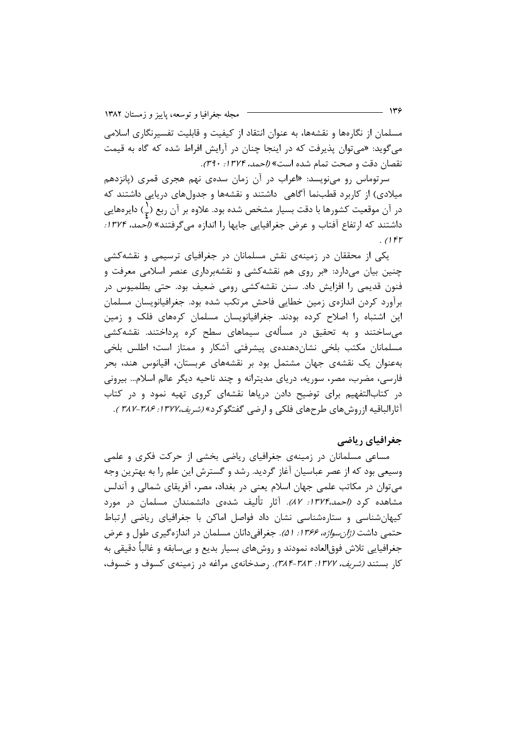مسلمان از نگارهها و نقشهها، به عنوان انتقاد از کیفیت و قابلیت تفسیرنگاری اسلامی میگوید: «میتوان پذیرفت که در اینجا چنان در آرایش افراط شده که گاه به قیمت نقصان دقت و صحت تمام شده است» *(احمد، ۱۳۷۴: ۳۹۰).* 

سرتوماس رو می نویسد: «اعراب در آن زمان سدهی نهم هجری قمری (پانزدهم میلادی) از کاربرد قطبنما آگاهی ِ داشتند و نقشهها و جدولهای دریایی داشتند که در آن موقعیت کشورها با دقت بسیار مشخص شده بود. علاوه بر آن ربع (ج) دایرههایی داشتند که ارتفاع آفتاب و عرض جغرافیایی جایها را اندازه می گرفتند» *(احمد، ۱۳۷۴:*  $105$ 

یکی از محققان در زمینهی نقش مسلمانان در جغرافیای ترسیمی و نقشهکشی چنین بیان میدارد: «بر روی هم نقشهکشی و نقشهبرداری عنصر اسلامی معرفت و فنون قدیمی را افزایش داد. سنن نقشهکشی رومی ضعیف بود. حتی بطلمیوس در برآورد کردن اندازهی زمین خطایی فاحش مرتکب شده بود. جغرافیانویسان مسلمان این اشتباه را اصلاح کرده بودند. جغرافیانویسان مسلمان کرههای فلک و زمین میساختند و به تحقیق در مسألهی سیماهای سطح کره پرداختند. نقشهکشی مسلمانان مكتب بلخى نشان دهندهى پيشرفتى آشكار و ممتاز است؛ اطلس بلخى بهعنوان یک نقشهی جهان مشتمل بود بر نقشههای عربستان، اقیانوس هند، بحر فارسی، مضرب، مصر، سوریه، دریای مدیترانه و چند ناحیه دیگر عالم اسلام… بیرونی در کتابالتفهیم برای توضیح دادن دریاها نقشهای کروی تهیه نمود و در کتاب آثارالباقيه ازروشهاي طرحهاي فلكي و ارضي گفتگوكرد» *(شريف،١٣٧٢: ٣٨٤-٣٨٢ )*.

#### جغرافیای ریاضی

مساعی مسلمانان در زمینهی جغرافیای ریاضی بخشی از حرکت فکری و علمی وسیعی بود که از عصر عباسیان آغاز گردید. رشد و گسترش این علم را به بهترین وجه میتوان در مکاتب علمی جهان اسلام یعنی در بغداد، مصر، آفریقای شمالی و آندلس مشاهده کرد *(احمد،۱۳۷۴: ۸۷).* آثار تألیف شدهی دانشمندان مسلمان در مورد کیهان شناسی و ستارهشناسی نشان داد فواصل اماکن با جغرافیای ریاضی ارتباط حتمی داشت *(ژان سواژه، ۱۳۶۶: ۵۱)*. جغرافی دانان مسلمان در اندازهگیری طول و عرض جغرافیایی تلاش فوق|لعاده نمودند و روشهای بسیار بدیع و بیسابقه و غالباً دقیقی به کار بستند *(شریف، ۱۳۷۲: ۳۸۴-۳۸۳)*. رصدخانهی مراغه در زمینهی کسوف و خسوف،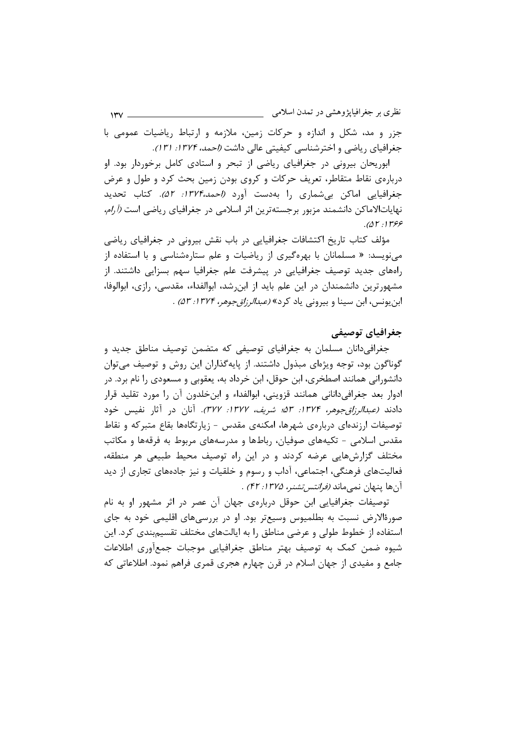نظری بر جغرافیاپژوهشی در تمدن اسلامی <sub>\_\_\_\_</sub>\_\_  $140 -$ 

جزر و مد، شکل و اندازه و حرکات زمین، ملازمه و ارتباط ریاضیات عمومی با جغرافیای ریاضی و اخترشناسی کیفیتی عالی داشت *(احمد، ۱۳۷۴: ۱۳۱).* 

ابوریحان بیرونی در جغرافیای ریاضی از تبحر و استادی کامل برخوردار بود. او دربارهی نقاط متقاطر، تعریف حرکات و کروی بودن زمین بحث کرد و طول و عرض جغرافیایی اماکن بیشماری را بهدست آورد (احمد،۱۳۷۴: ۵۲). کتاب تحدید نهایاتالاماکن دانشمند مزبور برجستهترین اثر اسلامی در جغرافیای ریاضی است *(آرام،*  $. ( \Delta \Gamma \cdot )$   $\Gamma$ ۶۶

مؤلف کتاب تاریخ اکتشافات جغرافیایی در باب نقش بیرونی در جغرافیای ریاضی مینویسد: « مسلمانان با بهرهگیری از ریاضیات و علم ستارهشناسی و با استفاده از رامهای جدید توصیف جغرافیایی در پیشرفت علم جغرافیا سهم بسزایی داشتند. از مشهورترین دانشمندان در این علم باید از ابن شد، ابوالفداء، مقدسی، رازی، ابوالوفا، ابن یونس، ابن سینا و بیرونی یاد کرد» *(عبدالرزاق جوهر، ۱۳۷۴: ۵۳)* .

# جغرافیای توصیفی

جغرافی دانان مسلمان به جغرافیای توصیفی که متضمن توصیف مناطق جدید و گوناگون بود، توجه ویژهای مبذول داشتند. از پایهگذاران این روش و توصیف میتوان دانشورانی همانند اصطخری، ابن حوقل، ابن خرداد به، یعقوبی و مسعودی را نام برد. در ادوار بعد جغرافیدانانی همانند قزوینی، ابوالفداء و ابنخلدون آن را مورد تقلید قرار دادند *(عبدالرزاقجوهر، ۱۳۷۴: ۵۳؛ شریف، ۱۳۷۷: ۳۷۲)*. آنان در آثار نفیس خود توصیفات ارزندهای دربارهی شهرها، امکنهی مقدس - زیارتگاهها بقاع متبرکه و نقاط مقدس اسلامی – تکیههای صوفیان، رباطها و مدرسههای مربوط به فرقهها و مکاتب مختلف گزارشهایی عرضه کردند و در این راه توصیف محیط طبیعی هر منطقه، فعالیتهای فرهنگی، اجتماعی، آداب و رسوم و خلقیات و نیز جادههای تجاری از دید آنها پنهان نمىماند *(فرانتس تشنر، ۱۳۷۵: ۴۲)* .

توصیفات جغرافیایی ابن حوقل دربارهی جهان آن عصر در اثر مشهور او به نام صورهٔالارض نسبت به بطلمیوس وسیعتر بود. او در بررسیهای اقلیمی خود به جای استفاده از خطوط طولی و عرضی مناطق را به ایالتهای مختلف تقسیم بندی کرد. این شیوه ضمن کمک به توصیف بهتر مناطق جغرافیایی موجبات جمعآوری اطلاعات جامع و مفیدی از جهان اسلام در قرن چهارم هجری قمری فراهم نمود. اطلاعاتی که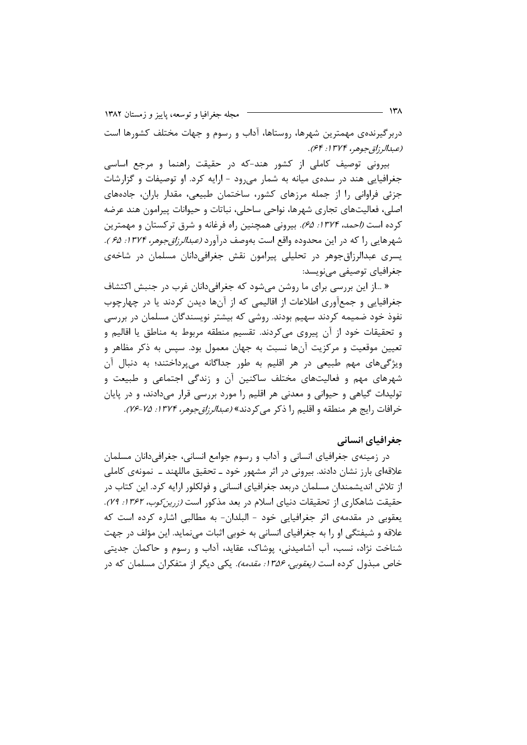مجله جغرافیا و توسعه، پاییز و زمستان ۱۳۸۲

دربرگیرندهی مهمترین شهرها، روستاها، آداب و رسوم و جهات مختلف کشورها است (عبدالرزاق جوهر، ۱۳۷۴: ۶۴).

بیرونی توصیف کاملی از کشور هند-که در حقیقت راهنما و مرجع اساسی جغرافیایی هند در سدهی میانه به شمار می رود - ارایه کرد. او توصیفات و گزارشات جزئی فراوانی را از جمله مرزهای کشور، ساختمان طبیعی، مقدار باران، جادههای اصلي، فعالیتهای تجاری شهرها، نواحی ساحلی، نباتات و حیوانات پیرامون هند عرضه کرده است *(احمد، ۱۳۷۴: ۶۵).* بیرونی همچنین راه فرغانه و شرق ترکستان و مهمترین شهرهایی را که در این محدوده واقع است بهوصف درآورد *(عبدالرزاقجوهر، ۱۳۷۴: ۶۵).* یسری عبدالرزاق جوهر در تحلیلی پیرامون نقش جغرافی،دانان مسلمان در شاخهی جغرافیای توصیفی مینویسد:

« …از این بررسی برای ما روشن میشود که جغرافیدانان غرب در جنبش اکتشاف جغرافیایی و جمعآوری اطلاعات از اقالیمی که از آنها دیدن کردند یا در چهارچوب نفوذ خود ضمیمه کردند سهیم بودند. روشی که بیشتر نویسندگان مسلمان در بررسی و تحقیقات خود از آن پیروی میکردند. تقسیم منطقه مربوط به مناطق یا اقالیم و تعیین موقعیت و مرکزیت آنها نسبت به جهان معمول بود. سپس به ذکر مظاهر و ویژگیهای مهم طبیعی در هر اقلیم به طور جداگانه میپرداختند؛ به دنبال آن شهرهای مهم و فعالیتهای مختلف ساکنین آن و زندگی اجتماعی و طبیعت و تولیدات گیاهی و حیوانی و معدنی هر اقلیم را مورد بررسی قرار میدادند، و در پایان خرافات رايج هر منطقه و اقليم را ذكر مي كردند» *(عبدالرزاق جوهر، ١٣٧۴: ٢۵-٧۶).* 

### جغرافیای انسانی

در زمینهی جغرافیای انسانی و آداب و رسوم جوامع انسانی، جغرافیدانان مسلمان علاقهای بارز نشان دادند. بیرونی در اثر مشهور خود ــ تحقیق ماللهند ــ نمونهی کاملی از تلاش اندیشمندان مسلمان دربعد جغرافیای انسانی و فولکلور ارایه کرد. این کتاب در حقیقت شاهکاری از تحقیقات دنیای اسلام در بعد مذکور است *(زرین کوب، ۱۳۶۲: ۷۹)*. يعقوبي در مقدمهي اثر جغرافيايي خود – البلدان- به مطالبي اشاره كرده است كه علاقه و شیفتگی او را به جغرافیای انسانی به خوبی اثبات می نماید. این مؤلف در جهت شناخت نژاد، نسب، آب آشامیدنی، پوشاک، عقاید، آداب و رسوم و حاکمان جدیتی خاص مبذول کرده است *(یعقوبی، ۱۳۵۶: مقدمه).* یکی دیگر از متفکران مسلمان که در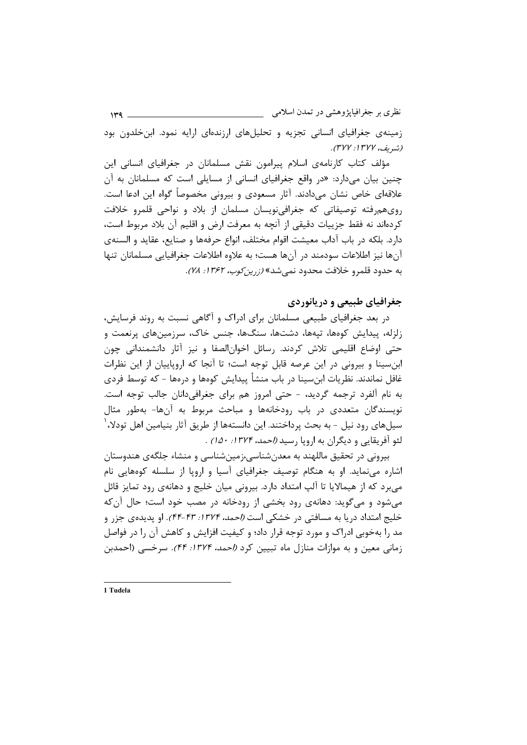نظری بر جغرافیاپژوهشی در تمدن اسلامی <sub>.</sub>  $149 -$ زمینهی جغرافیای انسانی تجزیه و تحلیلهای ارزندهای ارایه نمود. این خلدون بود (شيريف، ١٣٧٧: ٣٧٧).

مؤلف کتاب کارنامهی اسلام پیرامون نقش مسلمانان در جغرافیای انسانی این چنین بیان میدارد: «در واقع جغرافیای انسانی از مسایلی است که مسلمانان به آن علاقهای خاص نشان میدادند. آثار مسعودی و بیرونی مخصوصاً گواه این ادعا است. روی،هروفته توصیفاتی که جغرافی،نویسان مسلمان از بلاد و نواحی قلمرو خلافت كردهاند نه فقط جزييات دقيقي از آنچه به معرفت ارض و اقليم آن بلاد مربوط است، دارد. بلكه در باب آداب معيشت اقوام مختلف، انواع حرفهها و صنايع، عقايد و السنهى آنها نیز اطلاعات سودمند در آنها هست؛ به علاوه اطلاعات جغرافیایی مسلمانان تنها به حدود قلمرو خلافت محدود نمي شد» *(زرين كوب، ١٣۶٢: ٧٨)*.

# جغرافیای طبیعی و دریانوردی

در بعد جغرافیای طبیعی مسلمانان برای ادراک و آگاهی نسبت به روند فرسایش، زلزله، ییدایش کوهها، تیهها، دشتها، سنگها، جنس خاک، سرزمینهای پرنعمت و حتی اوضاع اقلیمی تلاش کردند. رسائل اخوانالصفا و نیز آثار دانشمندانی چون ابن سینا و بیرونی در این عرصه قابل توجه است؛ تا آنجا که اروپاییان از این نظرات غافل نماندند. نظریات ابنِسینا در باب منشأ پیدایش کومها و درمها – که توسط فردی به نام آلفرد ترجمه گردید، - حتی امروز هم برای جغرافیدانان جالب توجه است. نویسندگان متعددی در باب رودخانهها و مباحث مربوط به آنها- بهطور مثال سیلهای رود نیل – به بحث پرداختند. این دانستهها از طریق آثار بنیامین اهل تودلا، ٰ لئو آفريقايي و ديگران به اروپا رسيد *(احمد، ١٣٧۴: ١٥٠)* .

بیرونی در تحقیق ماللهند به معدن شناسی،زمین شناسی و منشاء جلگهی هندوستان اشاره می نماید. او به هنگام توصیف جغرافیای آسیا و اروپا از سلسله کوههایی نام میبرد که از هیمالایا تا آلپ امتداد دارد. بیرونی میان خلیج و دهانهی رود تمایز قائل میشود و میگوید: دهانهی رود بخشی از رودخانه در مصب خود است؛ حال آن که خلیج امتداد دریا به مسافتی در خشکی است *(احمد، ۱۳۷۴: ۴۳-۴۴)*. او پدیدهی جزر و مد را بهخوبی ادراک و مورد توجه قرار داد؛ و کیفیت افزایش و کاهش آن را در فواصل زمانی معین و به موازات منازل ماه تبیین کرد (احمد، ۱۳۷۴: ۴۴). سرخسی (احمدبن

1 Tudela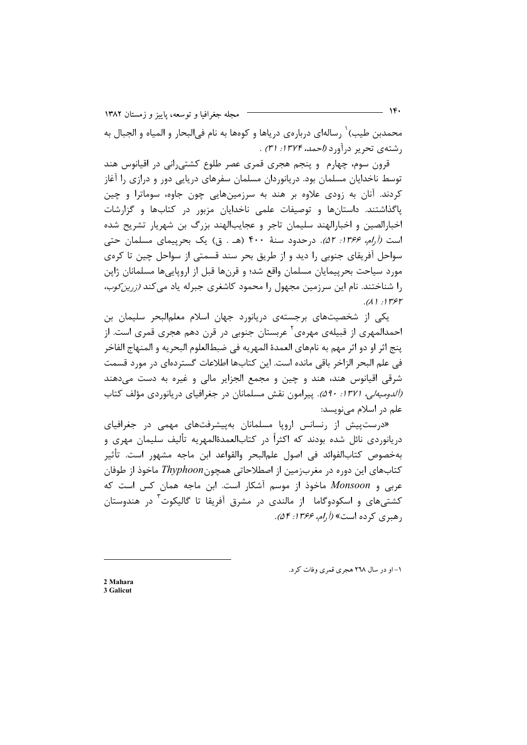مجله جغرافیا و توسعه، پاییز و زمستان ۱۳۸۲

محمدبن طیب) ٰ رسالهای دربارهی دریاها و کومها به نام فیالبحار و المیاه و الجبال به , شتهی تحریر در آورد *(احمد، ۱۳۷۴: ۳۱)* .

قرون سوم، چهارم و پنجم هجری قمری عصر طلوع کشتی٫رانی در اقیانوس هند توسط ناخدایان مسلمان بود. دریانوردان مسلمان سفرهای دریایی دور و درازی را آغاز کردند. آنان به زودی علاوه بر هند به سرزمینهایی چون جاوه، سوماترا و چین یاگذاشتند. داستانها و توصیفات علمی ناخدایان مزبور در کتابها و گزارشات اخبارالصين و اخبارالهند سليمان تاجر و عجايبالهند بزرگ بن شهريار تشريح شده است (آرام، ۱۳۶۶: ۵۲). در حدود سنهٔ ۴۰۰ (هـ . ق) یک بحرییمای مسلمان حتی سواحل آفریقای جنوبی را دید و از طریق بحر سند قسمتی از سواحل چین تا کرهی مورد سیاحت بحرپیمایان مسلمان واقع شد؛ و قرنها قبل از اروپاییها مسلمانان ژاپن را شناختند. نام این سرزمین مجهول را محمود کاشغری جبرله یاد می *کند (زرین کوب،*  $(1)!$ 

یکی از شخصیتهای برجستهی دریانورد جهان اسلام معلمالبحر سلیمان بن احمدالمهری از قبیلهی مهرهی یعربستان جنوبی در قرن دهم هجری قمری است. از پنج اثر او دو اثر مهم به نامهاي العمدهٔ المهريه في ضبطالعلوم البحريه و المنهاج الفاخر في علم البحر الزاخر باقي مانده است. اين كتابها اطلاعات گستردهاي در مورد قسمت شرقی اقیانوس هند، هند و چین و مجمع الجزایر مالی و غیره به دست میدهند (آلدومیه لی، ۱۳۷۱: ۵۹۰). پیرامون نقش مسلمانان در جغرافیای دریانوردی مؤلف کتاب علم در اسلام می;نویسد:

«درستپیش از رنسانس اروپا مسلمانان بهپیشرفتهای مهمی در جغرافیای دريانوردي نائل شده بودند كه اكثراً در كتابالعمدةالمهريه تأليف سليمان مهري و بەخصوص كتابالفوائد في اصول علمالبحر والقواعد ابن ماجه مشهور است. تأثير کتابهای این دوره در مغربزمین از اصطلاحاتی همچونThyphoon ماخوذ از طوفان عربی و Monsoon ماخوذ از موسم آشکار است. ابن ماجه همان کس است که کشتیهای و اسکودوگاما از مالندی در مشرق آفریقا تا گالیکوت در هندوستان رهبري كرده است» (*آرام، ۱۳۶۶: ۵۴).* 

۱- او در سال ۲٦۸ هجری قمری وفات کرد.

2 Mahara 3 Calicut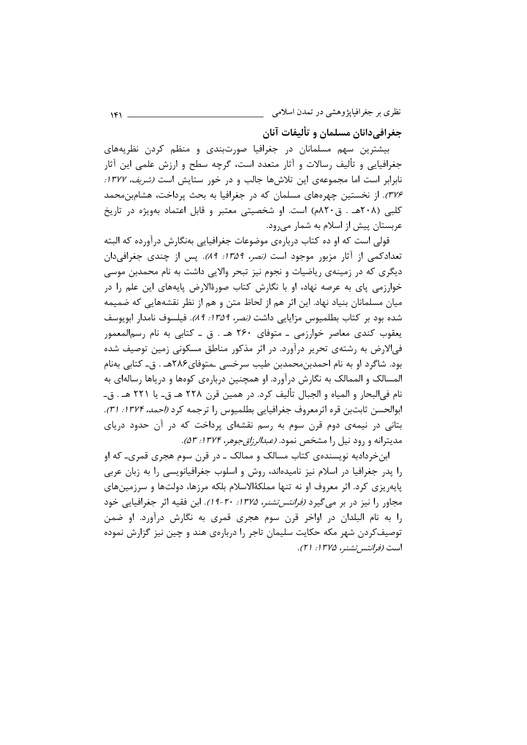جغرافي دانان مسلمان و تأليفات آنان

بیشترین سهم مسلمانان در جغرافیا صورتبندی و منظم کردن نظریههای جغرافیایی و تألیف رسالات و آثار متعدد است، گرچه سطح و ارزش علمی این آثار نابرابر است اما مجموعهی این تلاشها جالب و در خور ستایش است *(شریف، ۱۳۷۷:* ٣٧۶). از نخستین چهرههای مسلمان که در جغرافیا به بحث پرداخت، هشامبن محمد کلبے (۲۰۸هـ . ق۲۰۸م) است. او شخصیتی معتبر و قابل اعتماد بهویژه در تاریخ عربستان پیش از اسلام به شمار می رود.

قولی است که او ده کتاب دربارهی موضوعات جغرافیایی بهنگارش درآورده که البته تعدادکمی از آثار مزبور موجود است *(نصر، ۱۳۵۹: ۸۹)*. پس از چندی جغرافی دان دیگری که در زمینهی ریاضیات و نجوم نیز تبحر والایی داشت به نام محمدبن موسی خوارزمی پای به عرصه نهاد، او با نگارش کتاب صورهٔالارض پایههای این علم را در میان مسلمانان بنیاد نهاد. این اثر هم از لحاظ متن و هم از نظر نقشههایی که ضمیمه شده بود بر كتاب بطلميوس مزايايي داشت *(نصر، ١٣۵٩: ٨٩)*. فيلسوف نامدار ابويوسف یعقوب کندی معاصر خوارزمی ـ متوفای ۲۶۰ هـ . ق ـ کتابی به نام رسمالمعمور فی|لارض به رشتهی تحریر درآورد. در اثر مذکور مناطق مسکونی زمین توصیف شده بود. شاگرد او به نام احمدبن،حمدبن طیب سرخسی ـمتوفای۲۸۶هـ . ق- کتابی بهنام المسالک و الممالک به نگارش درآورد. او همچنین دربارهی کومها و دریاها رسالهای به نام في|لبحار و المياه و الجبال تأليف كرد. در همين قرن ٢٢٨ هـ ق- يا ٢٢١ هـ . ق-ابوالحسن ثابتبن قره اثرمعروف جغرافيايي بطلميوس را ترجمه كرد *(احمد، ١٣٧۴: ٣١).* بتانی در نیمهی دوم قرن سوم به رسم نقشهای پرداخت که در آن حدود دریای مدیترانه و رود نیل را مشخص نمود. *(عبدالرزاقجوهر، ۱۳۷۴: ۵۳)*.

ابن خردادبه نویسنده ی کتاب مسالک و ممالک ـ در قرن سوم هجری قمری۔ که او را پدر جغرافیا در اسلام نیز نامیدهاند، روش و اسلوب جغرافیانویسی را به زبان عربی پایهریزی کرد. اثر معروف او نه تنها مملکهٔالاسلام بلکه مرزها، دولتها و سرزمینهای مجاور را نیز در بر می *گ*یرد *(فرانتس تشنر، ۱۳۷۵: ۲۰-۱۹)*. ابن فقیه اثر جغرافیایی خود را به نام البلدان در اواخر قرن سوم هجری قمری به نگارش درآورد. او ضمن توصیفکردن شهر مکه حکایت سلیمان تاجر را دربارهی هند و چین نیز گزارش نموده است *(فرانتس تشنر، ۱۳۷۵: ۲۱).*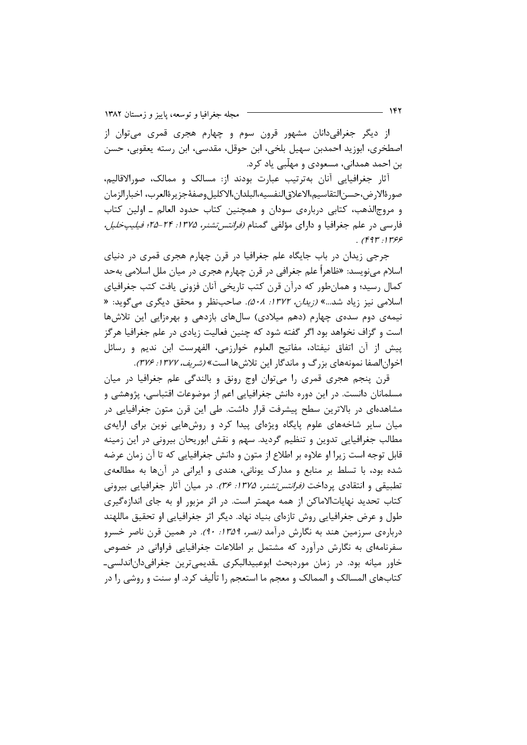مجله جغرافیا و توسعه، پاییز و زمستان ۱۳۸۲

از دیگر جغرافیدانان مشهور قرون سوم و چهارم هجری قمری میتوان از اصطخری، ابوزید احمدبن سهیل بلخی، ابن حوقل، مقدسی، ابن رسته یعقوبی، حسن بن احمد همدانی، مسعودی و مهلّبی یاد کرد.

آثار جغرافیایی آنان بهترتیب عبارت بودند از: مسالک و ممالک، صورالاقالیم، صورةالارض،حسن|لتقاسيم،الاعلاق|لنفسيه،البلدان،الاكليلوصفهٔجزيرةالعرب، اخبارالزمان و مروج|لذهب، كتابي دربارەي سودان و همچنين كتاب حدود العالم ـ اولين كتاب فارسی در علم جغرافیا و دارای مؤلفی گمنام *(فرانتس تشنر، ۱۳۷۵: ۲۴–۲۵؛ فیلیپخلیل،*  $.$  (۴۹۳:۱۳۶۶)

جرجی زیدان در باب جایگاه علم جغرافیا در قرن چهارم هجری قمری در دنیای اسلام مینویسد: «ظاهراً علم جغرافی در قرن چهارم هجری در میان ملل اسلامی بهحد کمال رسید؛ و همانطور که درآن قرن کتب تاریخی آنان فزونی یافت کتب جغرافیای اسلامی نیز زیاد شد....» *(زیدان، ۱۳۷۲: ۵۰۸).* صاحبنظر و محقق دیگری میگوید: « نیمهی دوم سدهی چهارم (دهم میلادی) سالهای بازدهی و بهرهزایی این تلاشها است و گزاف نخواهد بود اگر گفته شود که چنین فعالیت زیادی در علم جغرافیا هرگز پیش از آن اتفاق نیفتاد، مفاتیح العلوم خوارزمی، الفهرست ابن ندیم و رسائل اخوان الصفا نمونههای بزرگ و ماندگار این تلاش ها است» *(شریف، ۱۳۷۲: ۳۷۶).* 

قرن پنجم هجری قمری را میتوان اوج رونق و بالندگی علم جغرافیا در میان مسلمانان دانست. در این دوره دانش جغرافیایی اعم از موضوعات اقتباسی، پژوهشی و مشاهدهای در بالاترین سطح پیشرفت قرار داشت. طی این قرن متون جغرافیایی در میان سایر شاخههای علوم پایگاه ویژهای پیدا کرد و روشهایی نوین برای ارایهی مطالب جغرافیایی تدوین و تنظیم گردید. سهم و نقش ابوریحان بیرونی در این زمینه قابل توجه است زیرا او علاوه بر اطلاع از متون و دانش جغرافیایی که تا آن زمان عرضه شده بود، با تسلط بر منابع و مدارک یونانی، هندی و ایرانی در آنها به مطالعهی تطبیقی و انتقادی پرداخت *(فرانتس تشنر، ۱۳۷۵: ۳۶)*. در میان آثار جغرافیایی بیرونی کتاب تحدید نهایاتالاماکن از همه مهمتر است. در اثر مزبور او به جای اندازهگیری طول و عرض جغرافیایی روش تازهای بنیاد نهاد. دیگر اثر جغرافیایی او تحقیق ماللهند دربارهی سرزمین هند به نگارش درآمد *(نصر، ۱۳۵۹: ۹۰).* در همین قرن ناصر خسرو سفرنامهای به نگارش درآورد که مشتمل بر اطلاعات جغرافیایی فراوانی در خصوص خاور میانه بود. در زمان موردبحث ابوعبیدالبکری قدیمی ترین جغرافی دان اندلسی۔ کتابهای المسالک و الممالک و معجم ما استعجم را تألیف کرد. او سنت و روشی را در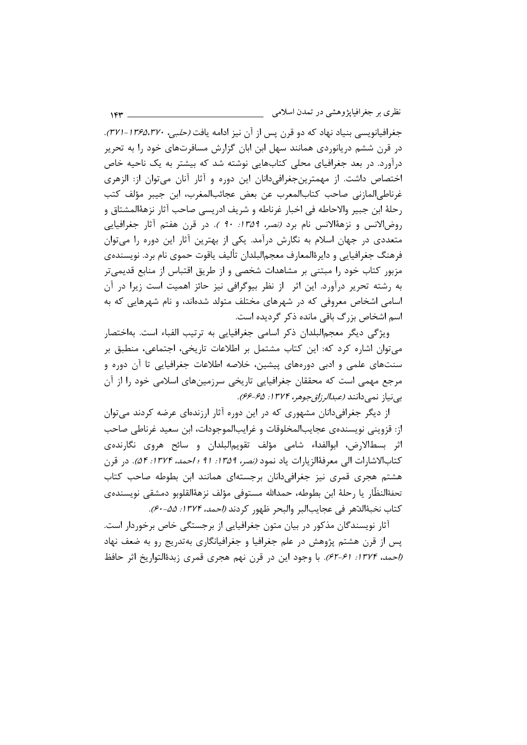نظري بر جغرافيايژوهشي در تمدن اسلامي  $154 -$ 

جغرافیانویسی بنیاد نهاد که دو قرن پس از آن نیز ادامه یافت *(حلبی، ۱۳۶۵،۳۷۰-۳۲۱*). در قرن ششم دریانوردی همانند سهل ابن ابان گزارش مسافرتهای خود را به تحریر درآورد. در بعد جغرافیای محلی کتابهایی نوشته شد که بیشتر به یک ناحیه خاص اختصاص داشت. از مهمترینجغرافیدانان این دوره و آثار آنان می توان از: الزهری غرناطي|لمازني صاحب كتاب|لمعرب عن بعض عجائب|لمغرب، ابن جيبر مؤلف كتب رحلهٔ ابن جبیر والاحاطه فی اخبار غرناطه و شریف ادریسی صاحب آثار نزههٔالمشتاق و روض الانس و نزههٔالانس نام برد *(نصر، ۱۳۵۹: ۹۰).* در قرن هفتم آثار جغرافیایی متعددی در جهان اسلام به نگارش درآمد. یکی از بهترین آثار این دوره را میتوان فرهنگ جغرافيايي و دايرةالمعارف معجم|لبلدان تأليف ياقوت حموي نام برد. نويسندهي مزبور کتاب خود را مبتنی بر مشاهدات شخصی و از طریق اقتباس از منابع قدیمی تر به رشته تحریر درآورد. این اثر از نظر بیوگرافی نیز حائز اهمیت است زیرا در آن اسامی اشخاص معروفی که در شهرهای مختلف متولد شدهاند، و نام شهرهایی که به اسم اشخاص بزرگ باقی مانده ذکر گردیده است.

ویژگی دیگر معجم|لبلدان ذکر اسامی جغرافیایی به ترتیب الفباء است. بهاختصار می توان اشاره کرد که: این کتاب مشتمل بر اطلاعات تاریخی، اجتماعی، منطبق بر سنتهای علمی و ادبی دورههای پیشین، خلاصه اطلاعات جغرافیایی تا آن دوره و مرجع مهمی است که محققان جغرافیایی تاریخی سرزمینهای اسلامی خود را از آن بي نياز نمي دانند (عبد*الر زاق جوهر، ۱۳۷۴: ۶۵-۶۶)*.

از دیگر جغرافی دانان مشهوری که در این دوره آثار ارزندهای عرضه کردند می توان از: قزويني نويسندەي عجايبالمخلوقات و غرايبالموجودات، ابن سعيد غرناطي صاحب اثر بسطالارض، ابوالفداء شامی مؤلف تقویم|لبلدان و سائح هروی نگارندهی كتابالاشارات الى معرفةالزيارات ياد نمود (نصر، 1۳۵۹: ۹۱ ؛ /حمد، ١٣٧۴: ٥۴). در قرن هشتم هجری قمری نیز جغرافیدانان برجستهای همانند ابن بطوطه صاحب کتاب تحفةالنظّار يا رحلة ابن بطوطه، حمدالله مستوفى مؤلف نزهةالقلوبو دمشقى نويسندهى كتاب نخبةالدّهر في عجايبالبر والبحر ظهور كردند (احمد، ١٣٧۴: ۵۵-۶۰).

آثار نویسندگان مذکور در بیان متون جغرافیایی از برجستگی خاص برخوردار است. پس از قرن هشتم پژوهش در علم جغرافیا و جغرافیانگاری بهتدریج رو به ضعف نهاد (إحمد، ١٣٧٤: ۶۱-۶۲). با وجود اين در قرن نهم هجري قمري زبدةالتواريخ اثر حافظ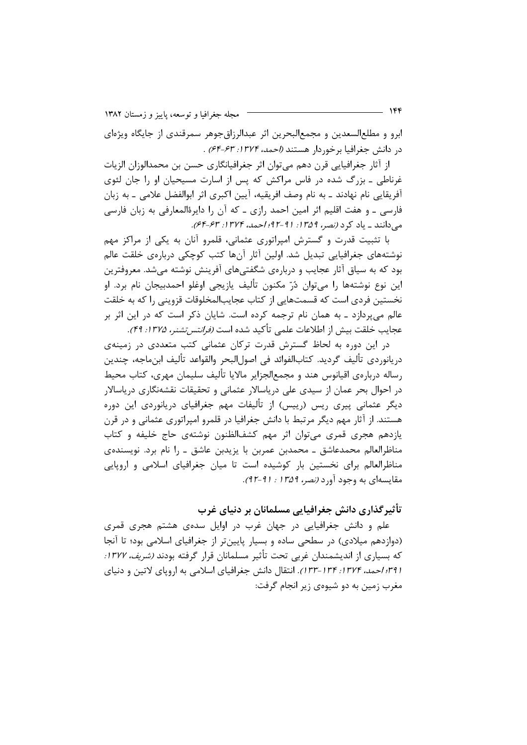مجله جغرافیا و توسعه، پاییز و زمستان ۱۳۸۲

ابرو و مطلع|لسعدین و مجمع|لبحرین اثر عبدالرزاق جوهر سمرقندی از جایگاه ویژهای در دانش جغرافيا برخوردار هستند *(احمد، ١٣٧۴: ۶۴-۶۴)* .

از آثار جغرافیایی قرن دهم می توان اثر جغرافیانگاری حسن بن محمدالوزان الزیات غرناطی ۔ بزرگ شدہ در فاس مراکش که پس از اسارت مسیحیان او را جان لئوی آفریقایی نام نهادند ـ به نام وصف افریقیه، آیین اکبری اثر ابوالفضل علامی ـ به زبان فارسی ۔ و هفت اقلیم اثر امین احمد رازی ۔ که آن را دایرۂالمعارفی به زبان فارسی می دانند \_ یاد کرد (نصر، ١٣٥٩: ٩١-٩٢؛ احمد، ١٣٧٢: ۶٣-۶۴).

با تثبیت قدرت و گسترش امپراتوری عثمانی، قلمرو آنان به یکی از مراکز مهم نوشتههای جغرافیایی تبدیل شد. اولین آثار آنها کتب کوچکی دربارهی خلقت عالم بود که به سیاق آثار عجایب و دربارهی شگفتیهای آفرینش نوشته می شد. معروفترین اين نوع نوشتهها را مي توان دُرّ مكنون تأليف يازيجي اوغلو احمدبيجان نام برد. او نخستین فردی است که قسمتهایی از کتاب عجایبالمخلوقات قزوینی را که به خلقت عالم می پردازد ـ به همان نام ترجمه کرده است. شایان ذکر است که در این اثر بر عجايب خلقت بيش از اطلاعات علمي تأكيد شده است *(فرانتس تشنر، ١٣٧۵: ۴٩)*.

در این دوره به لحاظ گسترش قدرت ترکان عثمانی کتب متعددی در زمینهی دريانوردي تأليف گرديد. كتابالفوائد في اصول|لبحر والقواعد تأليف ابنِماجه، چندين رساله دربارەي اقيانوس هند و مجمع|لجزاير مالايا تأليف سليمان مهري، كتاب محيط در احوال بحر عمان از سیدی علی دریاسالار عثمانی و تحقیقات نقشهنگاری دریاسالار دیگر عثمانی پیری ریس (رییس) از تألیفات مهم جغرافیای دریانوردی این دوره هستند. از آثار مهم دیگر مرتبط با دانش جغرافیا در قلمرو امپراتوری عثمانی و در قرن یازدهم هجری قمری می توان اثر مهم کشفالظنون نوشتهی حاج خلیفه و کتاب مناظرالعالم محمدعاشق ـ محمدبن عمربن با يزيدبن عاشق ـ را نام برد. نويسندهى مناظرالعالم برای نخستین بار کوشیده است تا میان جغرافیای اسلامی و اروپایی مقايسهاي به وجود آورد *(نصر، ١٣۵٩ : ٩١-٩٢).* 

تأثیر گذاری دانش جغرافیایی مسلمانان بر دنیای غرب

علم و دانش جغرافیایی در جهان غرب در اوایل سدهی هشتم هجری قمری (دوازدهم میلادی) در سطحی ساده و بسیار پایینتر از جغرافیای اسلامی بود؛ تا آنجا که بسیاری از اندیشمندان غربی تحت تأثیر مسلمانان قرار گرفته بودند *(شریف، ۱۳۷۷:* (۳۹۱؛ احمد، ۱۳۷۴: ۱۳۴–۱۳۳). انتقال دانش جغرافیای اسلامی به اروپای لاتین و دنیای مغرب زمین به دو شیوهی زیر انجام گرفت: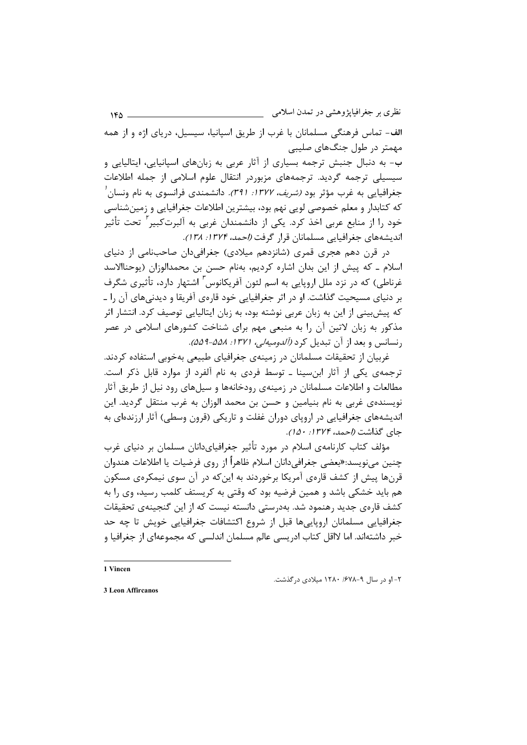نظری بر جغرافیایژوهشی در تمدن اسلامی  $YFA =$ 

الف- تماس فرهنگی مسلمانان با غرب از طریق اسپانیا، سیسیل، دریای اژه و از همه مهمتر در طول جنگ های صلیبی ب- به دنبال جنبش ترجمه بسیاری از آثار عربی به زبانهای اسپانیایی، ایتالیایی و سیسیلی ترجمه گردید. ترجمههای مزبوردر انتقال علوم اسلامی از جمله اطلاعات جغرافیایی به غرب مؤثر بود *(شریف، ۱۳۷۷: ۳۹۱).* دانشمندی فرانسوی به نام ونسان *'* 

که کتابدار و معلم خصوصی لویی نهم بود، بیشترین اطلاعات جغرافیایی و زمینشناسی خود را از منابع عربی اخذ کرد. یکی از دانشمندان غربی به آلبرتکبیر<sup>۲</sup> تحت تأثیر اندیشههای جغرافیایی مسلمانان قرار گرفت *(احمد، ۱۳۷۴: ۱۳۸)*.

در قرن دهم هجری قمری (شانزدهم میلادی) جغرافیدان صاحبنامی از دنیای اسلام ـ كه پيش از اين بدان اشاره كرديم، بهنام حسن بن محمدالوزان (يوحناالاسد غرناطی) که در نزد ملل اروپایی به اسم لئون آفریکانوس ٔ اشتهار دارد، تأثیری شگرف بر دنیای مسیحیت گذاشت. او در اثر جغرافیایی خود قارهی آفریقا و دیدنیهای آن را ـ که پیش بینی از این به زبان عربی نوشته بود، به زبان ایتالیایی توصیف کرد. انتشار اثر مذکور به زبان لاتین آن را به منبعی مهم برای شناخت کشورهای اسلامی در عصر رنسانس و بعد از آن تبدیل کرد (آلد*ومیهلی، ۱۳۷۱: ۵۵۸-۵۵۹)*.

غربیان از تحقیقات مسلمانان در زمینهی جغرافیای طبیعی بهخوبی استفاده کردند. ترجمهی یکی از آثار ابن سینا ـ توسط فردی به نام آلفرد از موارد قابل ذکر است. مطالعات و اطلاعات مسلمانان در زمینهی رودخانهها و سیلهای رود نیل از طریق آثار نویسندهی غربی به نام بنیامین و حسن بن محمد الوزان به غرب منتقل گردید. این اندیشههای جغرافیایی در اروپای دوران غفلت و تاریکی (قرون وسطی) آثار ارزندهای به جاي گذاشت (/حمد، ۱۳۷۴: ۱۵۰).

مؤلف کتاب کارنامهی اسلام در مورد تأثیر جغرافیایدانان مسلمان بر دنیای غرب چنین مینویسد:«بعضی جغرافیدانان اسلام ظاهراً از روی فرضیات یا اطلاعات هندوان قرنها پیش از کشف قارهی آمریکا برخوردند به اینکه در آن سوی نیمکرهی مسکون هم باید خشکی باشد و همین فرضیه بود که وقتی به کریستف کلمب رسید، وی را به کشف قارەي جديد رهنمود شد. بەدرستى دانسته نيست که از اين گنجينەي تحقيقات جغرافیایی مسلمانان اروپاییها قبل از شروع اکتشافات جغرافیایی خویش تا چه حد خبر داشتهاند. اما لااقل کتاب ادریسی عالم مسلمان اندلسی که مجموعهای از جغرافیا و

1 Vincen

۲- او در سال ۹-۱۲۸۰ /۶۷۸ میلادی در گذشت.

3 Leon Affircanos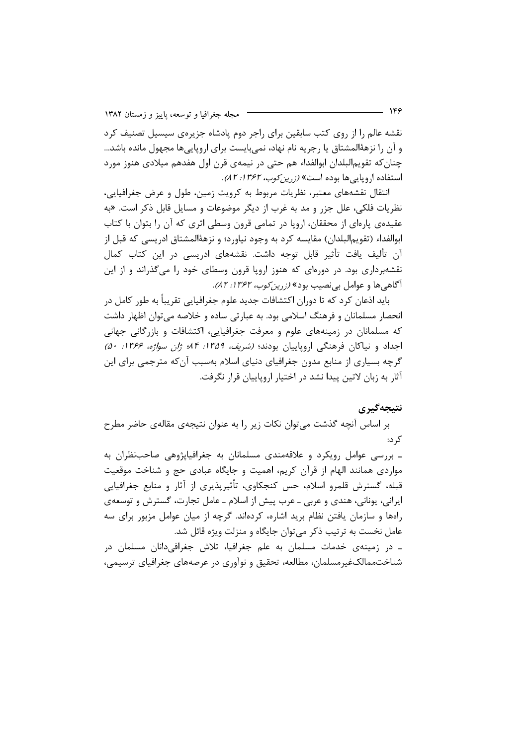نقشه عالم را از روی کتب سابقین برای راجر دوم یادشاه جزیرهی سیسیل تصنیف کرد و آن را نزههٔالمشتاق یا رجریه نام نهاد، نمیبایست برای اروپاییها مجهول مانده باشد… چنان که تقویم|لبلدان ابوالفداء هم حتی در نیمهی قرن اول هفدهم میلادی هنوز مورد استفاده اروپایی ها بوده است» (زرین *کوب، ۱۳۶۲: ۸۲)*.

انتقال نقشههای معتبر، نظریات مربوط به کرویت زمین، طول و عرض جغرافیایی، نظریات فلکی، علل جزر و مد به غرب از دیگر موضوعات و مسایل قابل ذکر است. «به عقیدهی پارهای از محققان، اروپا در تمامی قرون وسطی اثری که آن را بتوان با کتاب ابوالفداء (تقويم|لبلدان) مقايسه كرد به وجود نياورد؛ و نزهۀالمشتاق ادريسي كه قبل از آن تألیف یافت تأثیر قابل توجه داشت. نقشههای ادریسی در این کتاب کمال نقشهبرداری بود. در دورهای که هنوز اروپا قرون وسطای خود را میگذراند و از این آگاهی ها و عوامل بی نصیب بود» *(زرین کوب، ۱۳۶۲: ۸۲).* 

باید اذعان کرد که تا دوران اکتشافات جدید علوم جغرافیایی تقریباً به طور کامل در انحصار مسلمانان و فرهنگ اسلامی بود. به عبارتی ساده و خلاصه می توان اظهار داشت که مسلمانان در زمینههای علوم و معرفت جغرافیایی، اکتشافات و بازرگانی جهانی اجداد و نیاکان فرهنگی اروپاییان بودند؛ *(شریف، ۱۳۵۹: ۸۴؛ ژان سواژه، ۱۳۶۶: ۵۰)* گرچه بسیاری از منابع مدون جغرافیای دنیای اسلام بهسبب آنکه مترجمی برای این آثار به زبان لاتین پیدا نشد در اختیار اروپاییان قرار نگرفت.

#### نتيجەگيرى

بر اساس آنچه گذشت میتوان نکات زیر را به عنوان نتیجهی مقالهی حاضر مطرح کر د:

ـ بررسی عوامل رویکرد و علاقهمندی مسلمانان به جغرافیاپژوهی صاحبنظران به مواردی همانند الهام از قرآن کریم، اهمیت و جایگاه عبادی حج و شناخت موقعیت قبله، گسترش قلمرو اسلام، حس کنجکاوی، تأثیرپذیری از آثار و منابع جغرافیایی ايراني، يوناني، هندي و عربي ــ عرب پيش از اسلام ــ عامل تجارت، گسترش و توسعهي راهها و سازمان یافتن نظام برید اشاره، کردهاند. گرچه از میان عوامل مزبور برای سه عامل نخست به ترتیب ذکر می توان جایگاه و منزلت ویژه قائل شد.

ے در زمینهی خدمات مسلمان به علم جغرافیا، تلاش جغرافیدانان مسلمان در شناخت.ممالکغیرمسلمان، مطالعه، تحقیق و نوآوری در عرصههای جغرافیای ترسیمی،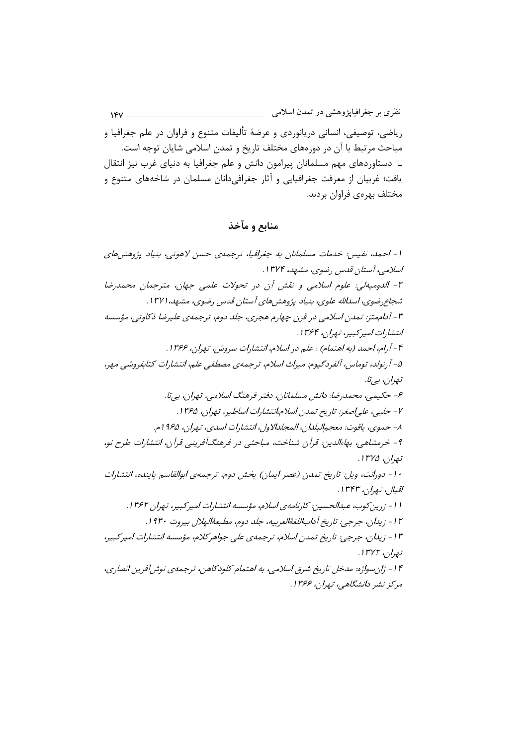نظری بر جغرافیایژوهشی در تمدن اسلامی  $18V$ رياضي، توصيفي، انساني دريانوردي و عرضهٔ تأليفات متنوع و فراوان در علم جغرافيا و مباحث مرتبط با آن در دورههای مختلف تاریخ و تمدن اسلامی شایان توجه است. ـ دستاوردهای مهم مسلمانان پیرامون دانش و علم جغرافیا به دنیای غرب نیز انتقال یافت؛ غربیان از معرفت جغرافیایی و آثار جغرافیدانان مسلمان در شاخههای متنوع و مختلف بهرەي فراوان بردند.

منابع و مآخذ

۱- احمد، نفیس: خدمات مسلمانان به جغرافیا، ترجمهی حسن لاهوتی، بنیاد پژوهشهای اسلامی، آستان قدس رضوی، مشهد، ۱۳۷۴. ٢- الدوميةلي: علوم اسلامي و نقش أن در تحولات علمي جهان، مترجمان محمدرضا شجاع رضوي، اسدالله علوي، بنياد پژوهش هاي آستان قدس رضوي، مشهد، ١٣٧١. ۳- آداممتز: تمدن اسلامی در قرن چهارم هجری، جلد دوم، ترجمهی علیرضا ذکاوتی، مؤسسه انتشارات امير كېيږ، تيران، ۱۳۶۴. ۴ - آرام، احمد (به اهتمام) : علم در اسلام، انتشارات سروش، تهران، ۱۳۶۶. ۵- آرنولد، توماس، آلفردگیوم: میراث اسلام، ترجمهی مصطفی علم، انتشارات کتابفروشی مهر، تيھران، ٻے تا. ۶- حکیمی، محمدرضا: دانش مسلمانان، دفتر فرهنگ اسلامی، تهران، بی تا. ٧- حلبي، علي اصغر: تاريخ تمدن اسلام،انتشارات اساطير، تهران، ١٣۶۵. ٨- حموي، ياقوت: معجم البلدان، المجلدالاول، انتشارات اسدي، تهران، ١٩۶۵م. ۹- خرمشاهی، بهاءالدین: قرآن شناخت، مباحثی در فرهنگآفرینی قرآن، انتشارات طرح نو، تېران، ۱۳۷۵. ۱۰- دورانت، ويل: تاريخ تمدن (عصر ايمان) بخش دوم، ترجمهي ابوالقاسم پاينده، انتشارات اقبال، نەرن، ۱۳۴۳. ا ا - زرين كوب، عبدالحسين: كارنامەي اسلام، مۇسسە انتشارات اميركېبير، تەران ۱۳۶۲. ١٢- زيدان، جرجي: تاريخ أداباللغةُالعربيه، جلد دوم، مطبعةُالهلال بيروت ١٩٣٠. ۱۳- زیدان، جرجی: تاریخ تمدن اسلام، ترجمهی علی جواهر کلام، مؤسسه انتشارات امپرکبیر، تبصان ، ۱۳۷۲. ۱۴- ژان سواژه: مدخل تاریخ شرق اسلامی، به اهتمام کلودکاهن، ترجمهی نوش آفرین انصاری، مرکز نشر دانشگاهی، تهران، ۱۳۶۶.